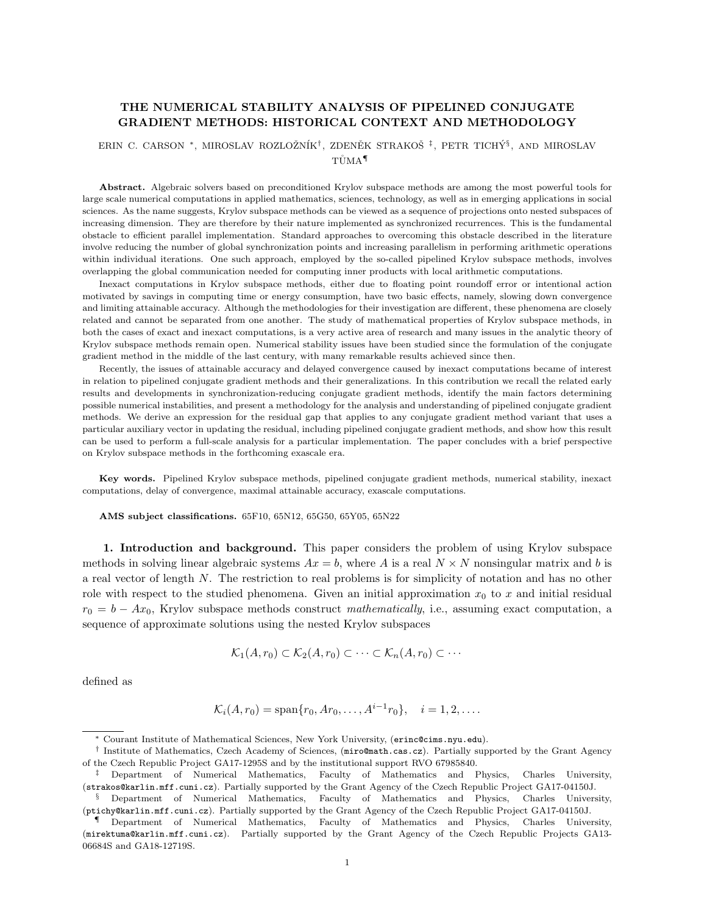## THE NUMERICAL STABILITY ANALYSIS OF PIPELINED CONJUGATE GRADIENT METHODS: HISTORICAL CONTEXT AND METHODOLOGY

## ERIN C. CARSON \*, MIROSLAV ROZLOŽNÍK<sup>†</sup>, ZDENĚK STRAKOŠ <sup>‡</sup>, PETR TICHÝ<sup>§</sup>, AND MIROSLAV TIMA<sup>¶</sup>

Abstract. Algebraic solvers based on preconditioned Krylov subspace methods are among the most powerful tools for large scale numerical computations in applied mathematics, sciences, technology, as well as in emerging applications in social sciences. As the name suggests, Krylov subspace methods can be viewed as a sequence of projections onto nested subspaces of increasing dimension. They are therefore by their nature implemented as synchronized recurrences. This is the fundamental obstacle to efficient parallel implementation. Standard approaches to overcoming this obstacle described in the literature involve reducing the number of global synchronization points and increasing parallelism in performing arithmetic operations within individual iterations. One such approach, employed by the so-called pipelined Krylov subspace methods, involves overlapping the global communication needed for computing inner products with local arithmetic computations.

Inexact computations in Krylov subspace methods, either due to floating point roundoff error or intentional action motivated by savings in computing time or energy consumption, have two basic effects, namely, slowing down convergence and limiting attainable accuracy. Although the methodologies for their investigation are different, these phenomena are closely related and cannot be separated from one another. The study of mathematical properties of Krylov subspace methods, in both the cases of exact and inexact computations, is a very active area of research and many issues in the analytic theory of Krylov subspace methods remain open. Numerical stability issues have been studied since the formulation of the conjugate gradient method in the middle of the last century, with many remarkable results achieved since then.

Recently, the issues of attainable accuracy and delayed convergence caused by inexact computations became of interest in relation to pipelined conjugate gradient methods and their generalizations. In this contribution we recall the related early results and developments in synchronization-reducing conjugate gradient methods, identify the main factors determining possible numerical instabilities, and present a methodology for the analysis and understanding of pipelined conjugate gradient methods. We derive an expression for the residual gap that applies to any conjugate gradient method variant that uses a particular auxiliary vector in updating the residual, including pipelined conjugate gradient methods, and show how this result can be used to perform a full-scale analysis for a particular implementation. The paper concludes with a brief perspective on Krylov subspace methods in the forthcoming exascale era.

Key words. Pipelined Krylov subspace methods, pipelined conjugate gradient methods, numerical stability, inexact computations, delay of convergence, maximal attainable accuracy, exascale computations.

AMS subject classifications. 65F10, 65N12, 65G50, 65Y05, 65N22

1. Introduction and background. This paper considers the problem of using Krylov subspace methods in solving linear algebraic systems  $Ax = b$ , where A is a real  $N \times N$  nonsingular matrix and b is a real vector of length N. The restriction to real problems is for simplicity of notation and has no other role with respect to the studied phenomena. Given an initial approximation  $x_0$  to x and initial residual  $r_0 = b - Ax_0$ , Krylov subspace methods construct mathematically, i.e., assuming exact computation, a sequence of approximate solutions using the nested Krylov subspaces

$$
\mathcal{K}_1(A, r_0) \subset \mathcal{K}_2(A, r_0) \subset \cdots \subset \mathcal{K}_n(A, r_0) \subset \cdots
$$

defined as

$$
\mathcal{K}_i(A, r_0) = \text{span}\{r_0, Ar_0, \dots, A^{i-1}r_0\}, \quad i = 1, 2, \dots.
$$

<sup>∗</sup> Courant Institute of Mathematical Sciences, New York University, (erinc@cims.nyu.edu).

<sup>†</sup> Institute of Mathematics, Czech Academy of Sciences, (miro@math.cas.cz). Partially supported by the Grant Agency of the Czech Republic Project GA17-1295S and by the institutional support RVO 67985840.

<sup>‡</sup> Department of Numerical Mathematics, Faculty of Mathematics and Physics, Charles University, (strakos@karlin.mff.cuni.cz). Partially supported by the Grant Agency of the Czech Republic Project GA17-04150J.

<sup>§</sup> Department of Numerical Mathematics, Faculty of Mathematics and Physics, Charles University, (ptichy@karlin.mff.cuni.cz). Partially supported by the Grant Agency of the Czech Republic Project GA17-04150J.

<sup>¶</sup> Department of Numerical Mathematics, Faculty of Mathematics and Physics, Charles University, (mirektuma@karlin.mff.cuni.cz). Partially supported by the Grant Agency of the Czech Republic Projects GA13- 06684S and GA18-12719S.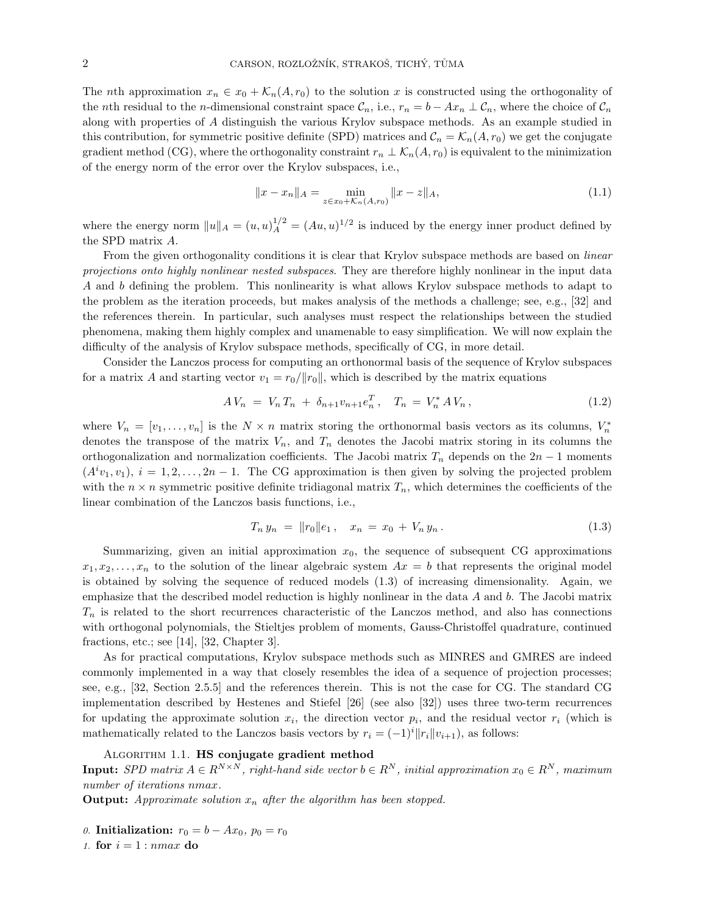The nth approximation  $x_n \in x_0 + \mathcal{K}_n(A, r_0)$  to the solution x is constructed using the orthogonality of the nth residual to the n-dimensional constraint space  $\mathcal{C}_n$ , i.e.,  $r_n = b - Ax_n \perp \mathcal{C}_n$ , where the choice of  $\mathcal{C}_n$ along with properties of A distinguish the various Krylov subspace methods. As an example studied in this contribution, for symmetric positive definite (SPD) matrices and  $\mathcal{C}_n = \mathcal{K}_n(A, r_0)$  we get the conjugate gradient method (CG), where the orthogonality constraint  $r_n \perp \mathcal{K}_n(A, r_0)$  is equivalent to the minimization of the energy norm of the error over the Krylov subspaces, i.e.,

$$
||x - x_n||_A = \min_{z \in x_0 + \mathcal{K}_n(A, r_0)} ||x - z||_A,
$$
\n(1.1)

where the energy norm  $||u||_A = (u, u)_A^{1/2} = (Au, u)^{1/2}$  is induced by the energy inner product defined by the SPD matrix A.

From the given orthogonality conditions it is clear that Krylov subspace methods are based on *linear* projections onto highly nonlinear nested subspaces. They are therefore highly nonlinear in the input data A and b defining the problem. This nonlinearity is what allows Krylov subspace methods to adapt to the problem as the iteration proceeds, but makes analysis of the methods a challenge; see, e.g., [32] and the references therein. In particular, such analyses must respect the relationships between the studied phenomena, making them highly complex and unamenable to easy simplification. We will now explain the difficulty of the analysis of Krylov subspace methods, specifically of CG, in more detail.

Consider the Lanczos process for computing an orthonormal basis of the sequence of Krylov subspaces for a matrix A and starting vector  $v_1 = r_0/||r_0||$ , which is described by the matrix equations

$$
AV_n = V_n T_n + \delta_{n+1} v_{n+1} e_n^T, \quad T_n = V_n^* A V_n, \tag{1.2}
$$

where  $V_n = [v_1, \ldots, v_n]$  is the  $N \times n$  matrix storing the orthonormal basis vectors as its columns,  $V_n^*$ denotes the transpose of the matrix  $V_n$ , and  $T_n$  denotes the Jacobi matrix storing in its columns the orthogonalization and normalization coefficients. The Jacobi matrix  $T_n$  depends on the  $2n-1$  moments  $(A<sup>i</sup>v<sub>1</sub>, v<sub>1</sub>), i = 1, 2, ..., 2n - 1$ . The CG approximation is then given by solving the projected problem with the  $n \times n$  symmetric positive definite tridiagonal matrix  $T_n$ , which determines the coefficients of the linear combination of the Lanczos basis functions, i.e.,

$$
T_n y_n = ||r_0|| e_1, \quad x_n = x_0 + V_n y_n. \tag{1.3}
$$

Summarizing, given an initial approximation  $x_0$ , the sequence of subsequent CG approximations  $x_1, x_2, \ldots, x_n$  to the solution of the linear algebraic system  $Ax = b$  that represents the original model is obtained by solving the sequence of reduced models (1.3) of increasing dimensionality. Again, we emphasize that the described model reduction is highly nonlinear in the data A and b. The Jacobi matrix  $T_n$  is related to the short recurrences characteristic of the Lanczos method, and also has connections with orthogonal polynomials, the Stieltjes problem of moments, Gauss-Christoffel quadrature, continued fractions, etc.; see [14], [32, Chapter 3].

As for practical computations, Krylov subspace methods such as MINRES and GMRES are indeed commonly implemented in a way that closely resembles the idea of a sequence of projection processes; see, e.g., [32, Section 2.5.5] and the references therein. This is not the case for CG. The standard CG implementation described by Hestenes and Stiefel [26] (see also [32]) uses three two-term recurrences for updating the approximate solution  $x_i$ , the direction vector  $p_i$ , and the residual vector  $r_i$  (which is mathematically related to the Lanczos basis vectors by  $r_i = (-1)^i ||r_i|| v_{i+1}$ , as follows:

ALGORITHM 1.1. HS conjugate gradient method

**Input:** SPD matrix  $A \in R^{N \times N}$ , right-hand side vector  $b \in R^N$ , initial approximation  $x_0 \in R^N$ , maximum number of iterations nmax.

**Output:** Approximate solution  $x_n$  after the algorithm has been stopped.

0. Initialization:  $r_0 = b - Ax_0$ ,  $p_0 = r_0$ 

1. for  $i = 1 : nmax$  do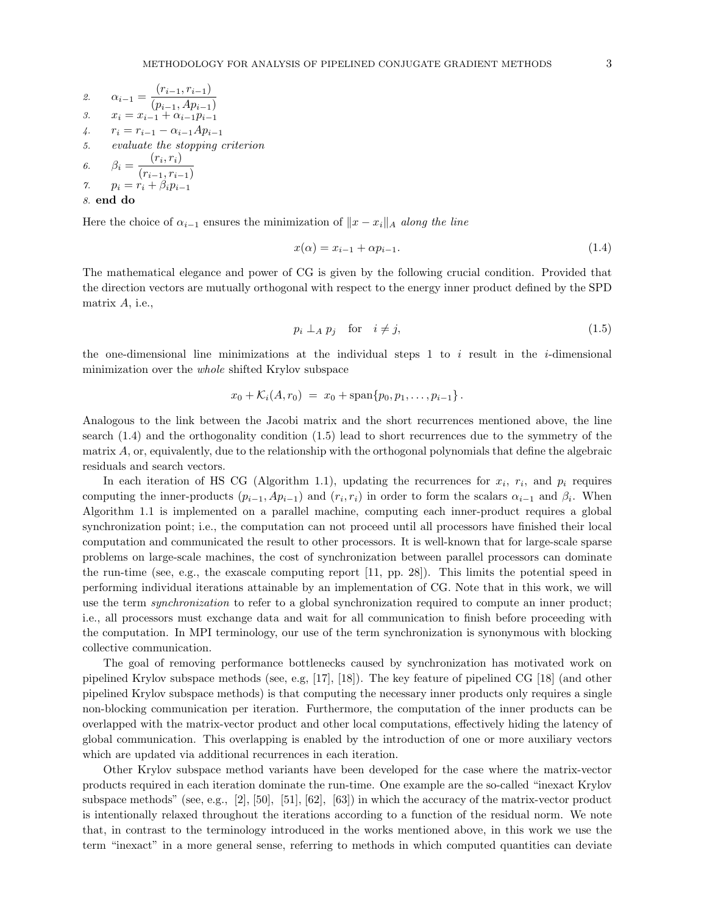2. 
$$
\alpha_{i-1} = \frac{(r_{i-1}, r_{i-1})}{(p_{i-1}, Ap_{i-1})}
$$

3. 
$$
x_i = x_{i-1} + \alpha_{i-1} p_{i-1}
$$

4. 
$$
r_i = r_{i-1} - \alpha_{i-1}Ap_{i-1}
$$

5. evaluate the stopping criterion

6. 
$$
\beta_i = \frac{(r_i, r_i)}{(r_{i-1}, r_{i-1})}
$$

$$
\gamma. \qquad p_i = r_i + \beta_i p_{i-1}
$$

#### 8. end do

Here the choice of  $\alpha_{i-1}$  ensures the minimization of  $||x - x_i||_A$  along the line

$$
x(\alpha) = x_{i-1} + \alpha p_{i-1}.
$$
\n(1.4)

The mathematical elegance and power of CG is given by the following crucial condition. Provided that the direction vectors are mutually orthogonal with respect to the energy inner product defined by the SPD matrix  $A$ , i.e.,

$$
p_i \perp_A p_j \quad \text{for} \quad i \neq j,\tag{1.5}
$$

the one-dimensional line minimizations at the individual steps 1 to  $i$  result in the  $i$ -dimensional minimization over the whole shifted Krylov subspace

$$
x_0 + \mathcal{K}_i(A, r_0) = x_0 + \text{span}\{p_0, p_1, \ldots, p_{i-1}\}.
$$

Analogous to the link between the Jacobi matrix and the short recurrences mentioned above, the line search (1.4) and the orthogonality condition (1.5) lead to short recurrences due to the symmetry of the matrix A, or, equivalently, due to the relationship with the orthogonal polynomials that define the algebraic residuals and search vectors.

In each iteration of HS CG (Algorithm 1.1), updating the recurrences for  $x_i$ ,  $r_i$ , and  $p_i$  requires computing the inner-products  $(p_{i-1}, Ap_{i-1})$  and  $(r_i, r_i)$  in order to form the scalars  $\alpha_{i-1}$  and  $\beta_i$ . When Algorithm 1.1 is implemented on a parallel machine, computing each inner-product requires a global synchronization point; i.e., the computation can not proceed until all processors have finished their local computation and communicated the result to other processors. It is well-known that for large-scale sparse problems on large-scale machines, the cost of synchronization between parallel processors can dominate the run-time (see, e.g., the exascale computing report [11, pp. 28]). This limits the potential speed in performing individual iterations attainable by an implementation of CG. Note that in this work, we will use the term *synchronization* to refer to a global synchronization required to compute an inner product; i.e., all processors must exchange data and wait for all communication to finish before proceeding with the computation. In MPI terminology, our use of the term synchronization is synonymous with blocking collective communication.

The goal of removing performance bottlenecks caused by synchronization has motivated work on pipelined Krylov subspace methods (see, e.g, [17], [18]). The key feature of pipelined CG [18] (and other pipelined Krylov subspace methods) is that computing the necessary inner products only requires a single non-blocking communication per iteration. Furthermore, the computation of the inner products can be overlapped with the matrix-vector product and other local computations, effectively hiding the latency of global communication. This overlapping is enabled by the introduction of one or more auxiliary vectors which are updated via additional recurrences in each iteration.

Other Krylov subspace method variants have been developed for the case where the matrix-vector products required in each iteration dominate the run-time. One example are the so-called "inexact Krylov subspace methods" (see, e.g., [2], [50], [51], [62], [63]) in which the accuracy of the matrix-vector product is intentionally relaxed throughout the iterations according to a function of the residual norm. We note that, in contrast to the terminology introduced in the works mentioned above, in this work we use the term "inexact" in a more general sense, referring to methods in which computed quantities can deviate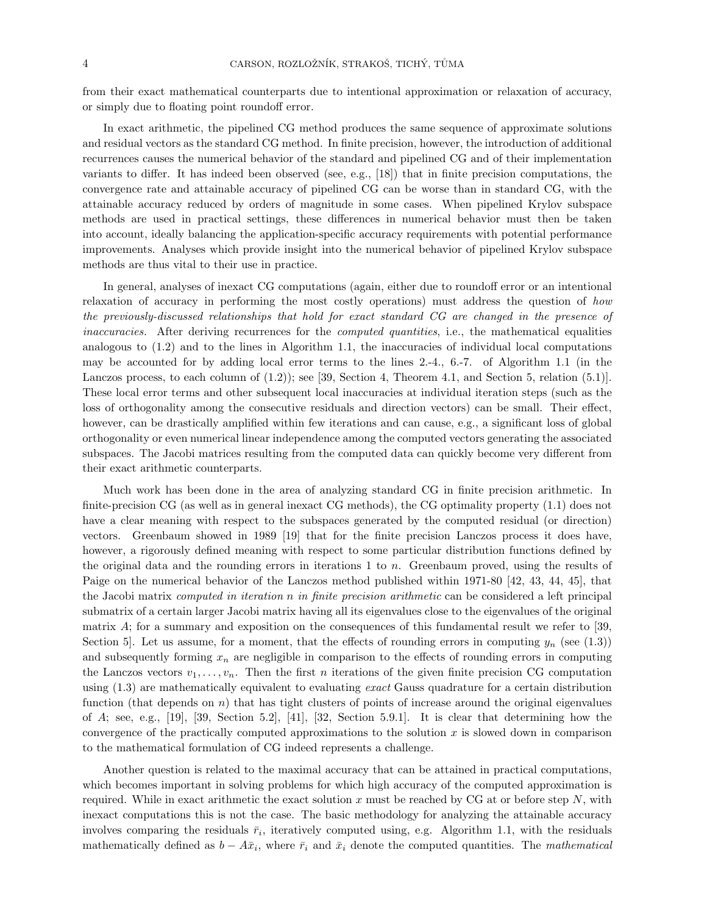from their exact mathematical counterparts due to intentional approximation or relaxation of accuracy, or simply due to floating point roundoff error.

In exact arithmetic, the pipelined CG method produces the same sequence of approximate solutions and residual vectors as the standard CG method. In finite precision, however, the introduction of additional recurrences causes the numerical behavior of the standard and pipelined CG and of their implementation variants to differ. It has indeed been observed (see, e.g., [18]) that in finite precision computations, the convergence rate and attainable accuracy of pipelined CG can be worse than in standard CG, with the attainable accuracy reduced by orders of magnitude in some cases. When pipelined Krylov subspace methods are used in practical settings, these differences in numerical behavior must then be taken into account, ideally balancing the application-specific accuracy requirements with potential performance improvements. Analyses which provide insight into the numerical behavior of pipelined Krylov subspace methods are thus vital to their use in practice.

In general, analyses of inexact CG computations (again, either due to roundoff error or an intentional relaxation of accuracy in performing the most costly operations) must address the question of how the previously-discussed relationships that hold for exact standard CG are changed in the presence of inaccuracies. After deriving recurrences for the *computed quantities*, i.e., the mathematical equalities analogous to (1.2) and to the lines in Algorithm 1.1, the inaccuracies of individual local computations may be accounted for by adding local error terms to the lines 2.-4., 6.-7. of Algorithm 1.1 (in the Lanczos process, to each column of  $(1.2)$ ; see [39, Section 4, Theorem 4.1, and Section 5, relation  $(5.1)$ ]. These local error terms and other subsequent local inaccuracies at individual iteration steps (such as the loss of orthogonality among the consecutive residuals and direction vectors) can be small. Their effect, however, can be drastically amplified within few iterations and can cause, e.g., a significant loss of global orthogonality or even numerical linear independence among the computed vectors generating the associated subspaces. The Jacobi matrices resulting from the computed data can quickly become very different from their exact arithmetic counterparts.

Much work has been done in the area of analyzing standard CG in finite precision arithmetic. In finite-precision CG (as well as in general inexact CG methods), the CG optimality property (1.1) does not have a clear meaning with respect to the subspaces generated by the computed residual (or direction) vectors. Greenbaum showed in 1989 [19] that for the finite precision Lanczos process it does have, however, a rigorously defined meaning with respect to some particular distribution functions defined by the original data and the rounding errors in iterations 1 to n. Greenbaum proved, using the results of Paige on the numerical behavior of the Lanczos method published within 1971-80 [42, 43, 44, 45], that the Jacobi matrix computed in iteration n in finite precision arithmetic can be considered a left principal submatrix of a certain larger Jacobi matrix having all its eigenvalues close to the eigenvalues of the original matrix  $A$ ; for a summary and exposition on the consequences of this fundamental result we refer to [39, Section 5]. Let us assume, for a moment, that the effects of rounding errors in computing  $y_n$  (see (1.3)) and subsequently forming  $x_n$  are negligible in comparison to the effects of rounding errors in computing the Lanczos vectors  $v_1, \ldots, v_n$ . Then the first *n* iterations of the given finite precision CG computation using  $(1.3)$  are mathematically equivalent to evaluating exact Gauss quadrature for a certain distribution function (that depends on  $n$ ) that has tight clusters of points of increase around the original eigenvalues of A; see, e.g., [19], [39, Section 5.2], [41], [32, Section 5.9.1]. It is clear that determining how the convergence of the practically computed approximations to the solution  $x$  is slowed down in comparison to the mathematical formulation of CG indeed represents a challenge.

Another question is related to the maximal accuracy that can be attained in practical computations, which becomes important in solving problems for which high accuracy of the computed approximation is required. While in exact arithmetic the exact solution x must be reached by  $CG$  at or before step  $N$ , with inexact computations this is not the case. The basic methodology for analyzing the attainable accuracy involves comparing the residuals  $\bar{r}_i$ , iteratively computed using, e.g. Algorithm 1.1, with the residuals mathematically defined as  $b - A\bar{x}_i$ , where  $\bar{r}_i$  and  $\bar{x}_i$  denote the computed quantities. The *mathematical*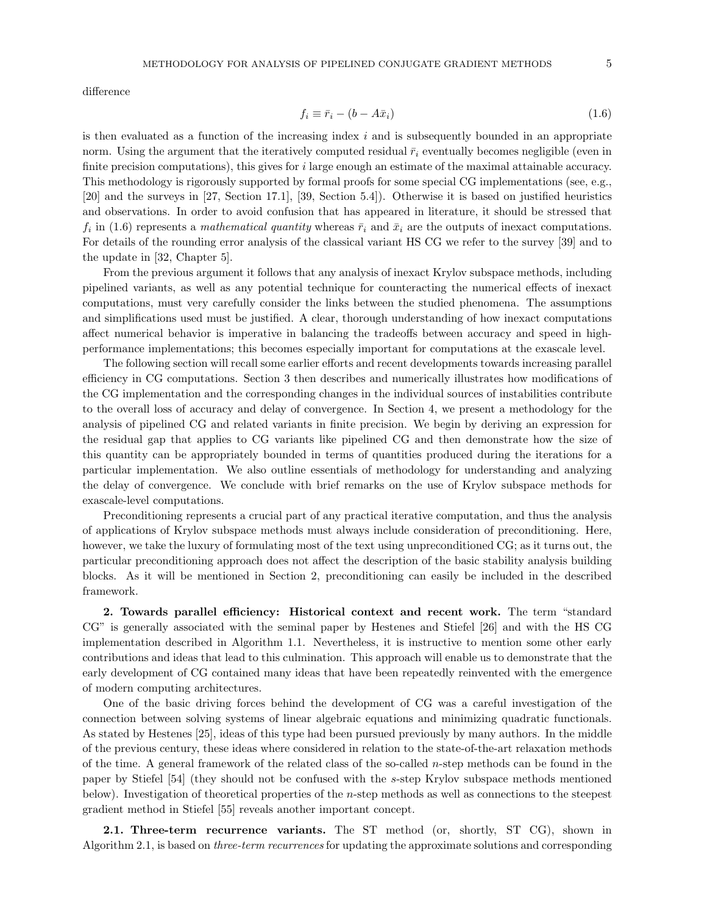difference

$$
f_i \equiv \bar{r}_i - (b - A\bar{x}_i) \tag{1.6}
$$

is then evaluated as a function of the increasing index  $i$  and is subsequently bounded in an appropriate norm. Using the argument that the iteratively computed residual  $\bar{r}_i$  eventually becomes negligible (even in finite precision computations), this gives for  $i$  large enough an estimate of the maximal attainable accuracy. This methodology is rigorously supported by formal proofs for some special CG implementations (see, e.g., [20] and the surveys in [27, Section 17.1], [39, Section 5.4]). Otherwise it is based on justified heuristics and observations. In order to avoid confusion that has appeared in literature, it should be stressed that  $f_i$  in (1.6) represents a *mathematical quantity* whereas  $\bar{r}_i$  and  $\bar{x}_i$  are the outputs of inexact computations. For details of the rounding error analysis of the classical variant HS CG we refer to the survey [39] and to the update in [32, Chapter 5].

From the previous argument it follows that any analysis of inexact Krylov subspace methods, including pipelined variants, as well as any potential technique for counteracting the numerical effects of inexact computations, must very carefully consider the links between the studied phenomena. The assumptions and simplifications used must be justified. A clear, thorough understanding of how inexact computations affect numerical behavior is imperative in balancing the tradeoffs between accuracy and speed in highperformance implementations; this becomes especially important for computations at the exascale level.

The following section will recall some earlier efforts and recent developments towards increasing parallel efficiency in CG computations. Section 3 then describes and numerically illustrates how modifications of the CG implementation and the corresponding changes in the individual sources of instabilities contribute to the overall loss of accuracy and delay of convergence. In Section 4, we present a methodology for the analysis of pipelined CG and related variants in finite precision. We begin by deriving an expression for the residual gap that applies to CG variants like pipelined CG and then demonstrate how the size of this quantity can be appropriately bounded in terms of quantities produced during the iterations for a particular implementation. We also outline essentials of methodology for understanding and analyzing the delay of convergence. We conclude with brief remarks on the use of Krylov subspace methods for exascale-level computations.

Preconditioning represents a crucial part of any practical iterative computation, and thus the analysis of applications of Krylov subspace methods must always include consideration of preconditioning. Here, however, we take the luxury of formulating most of the text using unpreconditioned CG; as it turns out, the particular preconditioning approach does not affect the description of the basic stability analysis building blocks. As it will be mentioned in Section 2, preconditioning can easily be included in the described framework.

2. Towards parallel efficiency: Historical context and recent work. The term "standard CG" is generally associated with the seminal paper by Hestenes and Stiefel [26] and with the HS CG implementation described in Algorithm 1.1. Nevertheless, it is instructive to mention some other early contributions and ideas that lead to this culmination. This approach will enable us to demonstrate that the early development of CG contained many ideas that have been repeatedly reinvented with the emergence of modern computing architectures.

One of the basic driving forces behind the development of CG was a careful investigation of the connection between solving systems of linear algebraic equations and minimizing quadratic functionals. As stated by Hestenes [25], ideas of this type had been pursued previously by many authors. In the middle of the previous century, these ideas where considered in relation to the state-of-the-art relaxation methods of the time. A general framework of the related class of the so-called n-step methods can be found in the paper by Stiefel [54] (they should not be confused with the s-step Krylov subspace methods mentioned below). Investigation of theoretical properties of the n-step methods as well as connections to the steepest gradient method in Stiefel [55] reveals another important concept.

2.1. Three-term recurrence variants. The ST method (or, shortly, ST CG), shown in Algorithm 2.1, is based on *three-term recurrences* for updating the approximate solutions and corresponding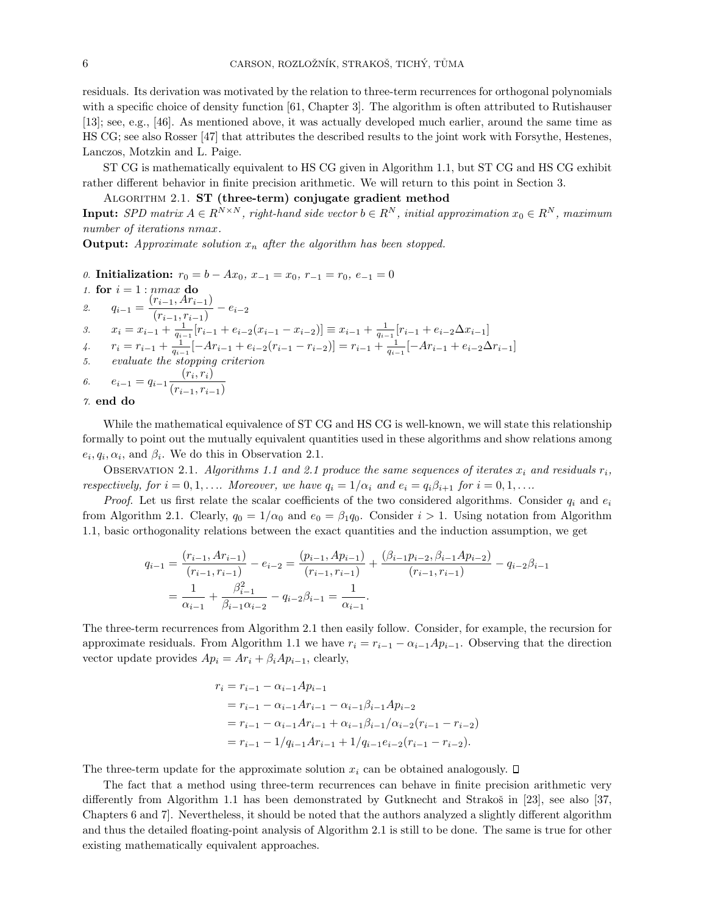residuals. Its derivation was motivated by the relation to three-term recurrences for orthogonal polynomials with a specific choice of density function [61, Chapter 3]. The algorithm is often attributed to Rutishauser [13]; see, e.g., [46]. As mentioned above, it was actually developed much earlier, around the same time as HS CG; see also Rosser [47] that attributes the described results to the joint work with Forsythe, Hestenes, Lanczos, Motzkin and L. Paige.

ST CG is mathematically equivalent to HS CG given in Algorithm 1.1, but ST CG and HS CG exhibit rather different behavior in finite precision arithmetic. We will return to this point in Section 3.

ALGORITHM 2.1. ST (three-term) conjugate gradient method **Input:** SPD matrix  $A \in R^{N \times N}$ , right-hand side vector  $b \in R^N$ , initial approximation  $x_0 \in R^N$ , maximum number of iterations nmax.

**Output:** Approximate solution  $x_n$  after the algorithm has been stopped.

0. **Initialization:** 
$$
r_0 = b - Ax_0
$$
,  $x_{-1} = x_0$ ,  $r_{-1} = r_0$ ,  $e_{-1} = 0$ 

\n1. **for**  $i = 1$ :  $nmax$  **do**

\n2.  $q_{i-1} = \frac{(r_{i-1}, Ar_{i-1})}{(r_{i-1}, r_{i-1})} - e_{i-2}$ 

\n3.  $x_i = x_{i-1} + \frac{1}{q_{i-1}} [r_{i-1} + e_{i-2}(x_{i-1} - x_{i-2})] \equiv x_{i-1} + \frac{1}{q_{i-1}} [r_{i-1} + e_{i-2} \Delta x_{i-1}]$ 

\n4.  $r_i = r_{i-1} + \frac{1}{q_{i-1}} [-Ar_{i-1} + e_{i-2}(r_{i-1} - r_{i-2})] = r_{i-1} + \frac{1}{q_{i-1}} [-Ar_{i-1} + e_{i-2} \Delta r_{i-1}]$ 

\n5. *evaluate the stopping criterion*

\n6.  $e_{i-1} = q_{i-1} \frac{(r_i, r_i)}{(r_{i-1}, r_{i-1})}$ 

\n7. **end do**

While the mathematical equivalence of ST CG and HS CG is well-known, we will state this relationship formally to point out the mutually equivalent quantities used in these algorithms and show relations among  $e_i, q_i, \alpha_i$ , and  $\beta_i$ . We do this in Observation 2.1.

OBSERVATION 2.1. Algorithms 1.1 and 2.1 produce the same sequences of iterates  $x_i$  and residuals  $r_i$ , respectively, for  $i = 0, 1, \ldots$  Moreover, we have  $q_i = 1/\alpha_i$  and  $e_i = q_i \beta_{i+1}$  for  $i = 0, 1, \ldots$ 

*Proof.* Let us first relate the scalar coefficients of the two considered algorithms. Consider  $q_i$  and  $e_i$ from Algorithm 2.1. Clearly,  $q_0 = 1/\alpha_0$  and  $e_0 = \beta_1 q_0$ . Consider  $i > 1$ . Using notation from Algorithm 1.1, basic orthogonality relations between the exact quantities and the induction assumption, we get

$$
q_{i-1} = \frac{(r_{i-1}, Ar_{i-1})}{(r_{i-1}, r_{i-1})} - e_{i-2} = \frac{(p_{i-1}, Ap_{i-1})}{(r_{i-1}, r_{i-1})} + \frac{(\beta_{i-1}p_{i-2}, \beta_{i-1}Ap_{i-2})}{(r_{i-1}, r_{i-1})} - q_{i-2}\beta_{i-1}
$$

$$
= \frac{1}{\alpha_{i-1}} + \frac{\beta_{i-1}^2}{\beta_{i-1}\alpha_{i-2}} - q_{i-2}\beta_{i-1} = \frac{1}{\alpha_{i-1}}.
$$

The three-term recurrences from Algorithm 2.1 then easily follow. Consider, for example, the recursion for approximate residuals. From Algorithm 1.1 we have  $r_i = r_{i-1} - \alpha_{i-1}A p_{i-1}$ . Observing that the direction vector update provides  $Ap_i = Ar_i + \beta_i Ap_{i-1}$ , clearly,

$$
r_i = r_{i-1} - \alpha_{i-1} A p_{i-1}
$$
  
=  $r_{i-1} - \alpha_{i-1} A r_{i-1} - \alpha_{i-1} \beta_{i-1} A p_{i-2}$   
=  $r_{i-1} - \alpha_{i-1} A r_{i-1} + \alpha_{i-1} \beta_{i-1} / \alpha_{i-2} (r_{i-1} - r_{i-2})$   
=  $r_{i-1} - 1 / q_{i-1} A r_{i-1} + 1 / q_{i-1} e_{i-2} (r_{i-1} - r_{i-2}).$ 

The three-term update for the approximate solution  $x_i$  can be obtained analogously.  $\Box$ 

The fact that a method using three-term recurrences can behave in finite precision arithmetic very differently from Algorithm 1.1 has been demonstrated by Gutknecht and Strakos in [23], see also [37, Chapters 6 and 7]. Nevertheless, it should be noted that the authors analyzed a slightly different algorithm and thus the detailed floating-point analysis of Algorithm 2.1 is still to be done. The same is true for other existing mathematically equivalent approaches.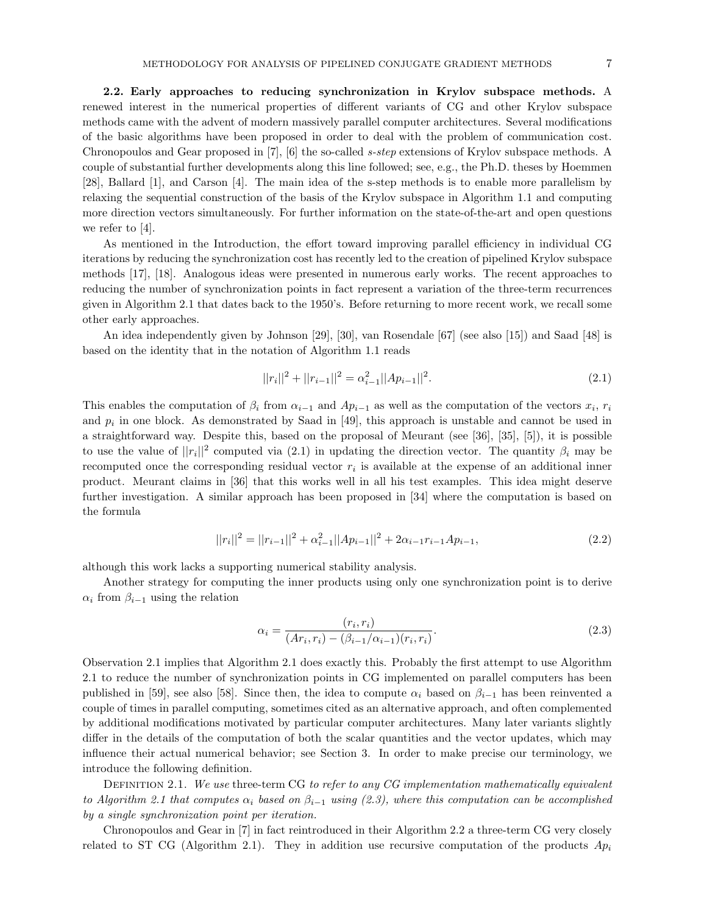2.2. Early approaches to reducing synchronization in Krylov subspace methods. A renewed interest in the numerical properties of different variants of CG and other Krylov subspace methods came with the advent of modern massively parallel computer architectures. Several modifications of the basic algorithms have been proposed in order to deal with the problem of communication cost. Chronopoulos and Gear proposed in [7], [6] the so-called s-step extensions of Krylov subspace methods. A couple of substantial further developments along this line followed; see, e.g., the Ph.D. theses by Hoemmen [28], Ballard [1], and Carson [4]. The main idea of the s-step methods is to enable more parallelism by relaxing the sequential construction of the basis of the Krylov subspace in Algorithm 1.1 and computing more direction vectors simultaneously. For further information on the state-of-the-art and open questions we refer to [4].

As mentioned in the Introduction, the effort toward improving parallel efficiency in individual CG iterations by reducing the synchronization cost has recently led to the creation of pipelined Krylov subspace methods [17], [18]. Analogous ideas were presented in numerous early works. The recent approaches to reducing the number of synchronization points in fact represent a variation of the three-term recurrences given in Algorithm 2.1 that dates back to the 1950's. Before returning to more recent work, we recall some other early approaches.

An idea independently given by Johnson [29], [30], van Rosendale [67] (see also [15]) and Saad [48] is based on the identity that in the notation of Algorithm 1.1 reads

$$
||r_i||^2 + ||r_{i-1}||^2 = \alpha_{i-1}^2 ||Ap_{i-1}||^2.
$$
\n(2.1)

This enables the computation of  $\beta_i$  from  $\alpha_{i-1}$  and  $Ap_{i-1}$  as well as the computation of the vectors  $x_i$ ,  $r_i$ and  $p_i$  in one block. As demonstrated by Saad in [49], this approach is unstable and cannot be used in a straightforward way. Despite this, based on the proposal of Meurant (see [36], [35], [5]), it is possible to use the value of  $||r_i||^2$  computed via (2.1) in updating the direction vector. The quantity  $\beta_i$  may be recomputed once the corresponding residual vector  $r_i$  is available at the expense of an additional inner product. Meurant claims in [36] that this works well in all his test examples. This idea might deserve further investigation. A similar approach has been proposed in [34] where the computation is based on the formula

$$
||r_i||^2 = ||r_{i-1}||^2 + \alpha_{i-1}^2 ||Ap_{i-1}||^2 + 2\alpha_{i-1}r_{i-1}Ap_{i-1},
$$
\n(2.2)

although this work lacks a supporting numerical stability analysis.

Another strategy for computing the inner products using only one synchronization point is to derive  $\alpha_i$  from  $\beta_{i-1}$  using the relation

$$
\alpha_i = \frac{(r_i, r_i)}{(Ar_i, r_i) - (\beta_{i-1}/\alpha_{i-1})(r_i, r_i)}.
$$
\n(2.3)

Observation 2.1 implies that Algorithm 2.1 does exactly this. Probably the first attempt to use Algorithm 2.1 to reduce the number of synchronization points in CG implemented on parallel computers has been published in [59], see also [58]. Since then, the idea to compute  $\alpha_i$  based on  $\beta_{i-1}$  has been reinvented a couple of times in parallel computing, sometimes cited as an alternative approach, and often complemented by additional modifications motivated by particular computer architectures. Many later variants slightly differ in the details of the computation of both the scalar quantities and the vector updates, which may influence their actual numerical behavior; see Section 3. In order to make precise our terminology, we introduce the following definition.

DEFINITION 2.1. We use three-term CG to refer to any CG implementation mathematically equivalent to Algorithm 2.1 that computes  $\alpha_i$  based on  $\beta_{i-1}$  using (2.3), where this computation can be accomplished by a single synchronization point per iteration.

Chronopoulos and Gear in [7] in fact reintroduced in their Algorithm 2.2 a three-term CG very closely related to ST CG (Algorithm 2.1). They in addition use recursive computation of the products  $Ap_i$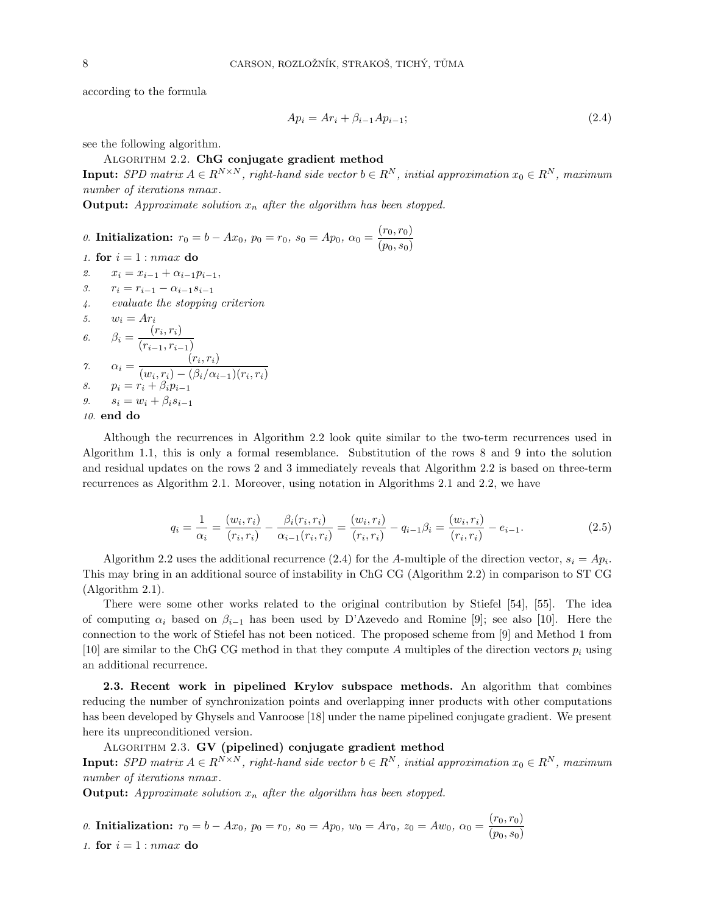according to the formula

$$
Ap_i = Ar_i + \beta_{i-1} Ap_{i-1};
$$
\n(2.4)

see the following algorithm.

### ALGORITHM 2.2. ChG conjugate gradient method

**Input:** SPD matrix  $A \in R^{N \times N}$ , right-hand side vector  $b \in R^N$ , initial approximation  $x_0 \in R^N$ , maximum number of iterations nmax.

**Output:** Approximate solution  $x_n$  after the algorithm has been stopped.

- 0. Initialization:  $r_0 = b Ax_0$ ,  $p_0 = r_0$ ,  $s_0 = Ap_0$ ,  $\alpha_0 = \frac{(r_0, r_0)}{(r_0 r_0)}$  $(p_0, s_0)$
- 1. for  $i = 1 : nmax$  do
- 2.  $x_i = x_{i-1} + \alpha_{i-1}p_{i-1},$
- 3.  $r_i = r_{i-1} \alpha_{i-1} s_{i-1}$
- 4. evaluate the stopping criterion
- 5.  $w_i = Ar_i$

$$
\theta. \qquad \beta_i = \frac{(r_i, r_i)}{(r_i - r_i)}
$$

$$
\begin{array}{cc} \cdot & \qquad \text{or} \\ & & \left( r_{i-1}, r_{i-1} \right) \end{array}
$$

7. 
$$
\alpha_i = \frac{(r_i, r_i)}{(w_i, r_i) - (\beta_i/\alpha_{i-1})(r_i, r_i)}
$$
  
8. 
$$
p_i = r_i + \beta_i p_{i-1}
$$

9. 
$$
s_i = w_i + \beta_i s_{i-1}
$$

#### 10. end do

Although the recurrences in Algorithm 2.2 look quite similar to the two-term recurrences used in Algorithm 1.1, this is only a formal resemblance. Substitution of the rows 8 and 9 into the solution and residual updates on the rows 2 and 3 immediately reveals that Algorithm 2.2 is based on three-term recurrences as Algorithm 2.1. Moreover, using notation in Algorithms 2.1 and 2.2, we have

$$
q_i = \frac{1}{\alpha_i} = \frac{(w_i, r_i)}{(r_i, r_i)} - \frac{\beta_i(r_i, r_i)}{\alpha_{i-1}(r_i, r_i)} = \frac{(w_i, r_i)}{(r_i, r_i)} - q_{i-1}\beta_i = \frac{(w_i, r_i)}{(r_i, r_i)} - e_{i-1}.
$$
\n(2.5)

Algorithm 2.2 uses the additional recurrence (2.4) for the A-multiple of the direction vector,  $s_i = Ap_i$ . This may bring in an additional source of instability in ChG CG (Algorithm 2.2) in comparison to ST CG (Algorithm 2.1).

There were some other works related to the original contribution by Stiefel [54], [55]. The idea of computing  $\alpha_i$  based on  $\beta_{i-1}$  has been used by D'Azevedo and Romine [9]; see also [10]. Here the connection to the work of Stiefel has not been noticed. The proposed scheme from [9] and Method 1 from [10] are similar to the ChG CG method in that they compute A multiples of the direction vectors  $p_i$  using an additional recurrence.

2.3. Recent work in pipelined Krylov subspace methods. An algorithm that combines reducing the number of synchronization points and overlapping inner products with other computations has been developed by Ghysels and Vanroose [18] under the name pipelined conjugate gradient. We present here its unpreconditioned version.

# ALGORITHM 2.3. GV (pipelined) conjugate gradient method

**Input:** SPD matrix  $A \in R^{N \times N}$ , right-hand side vector  $b \in R^N$ , initial approximation  $x_0 \in R^N$ , maximum number of iterations nmax.

**Output:** Approximate solution  $x_n$  after the algorithm has been stopped.

0. Initialization:  $r_0 = b - Ax_0$ ,  $p_0 = r_0$ ,  $s_0 = Ap_0$ ,  $w_0 = Ar_0$ ,  $z_0 = Aw_0$ ,  $\alpha_0 = \frac{(r_0, r_0)}{(r_0, r_0)}$  $(p_0, s_0)$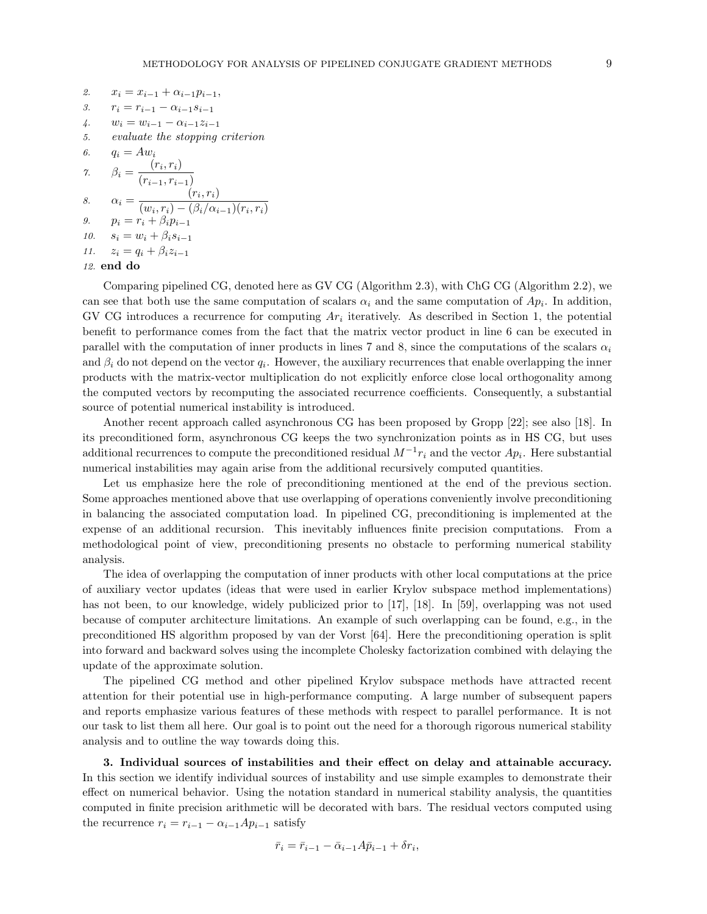- 2.  $x_i = x_{i-1} + \alpha_{i-1}p_{i-1},$
- 3.  $r_i = r_{i-1} \alpha_{i-1} s_{i-1}$
- 4.  $w_i = w_{i-1} \alpha_{i-1}z_{i-1}$
- 5. evaluate the stopping criterion
- 6.  $q_i = Aw_i$

7. 
$$
\beta_i = \frac{(r_i, r_i)}{(r_{i-1}, r_{i-1})}
$$

- 8.  $\alpha_i = \frac{(r_i, r_i)}{(r_i r_i)^2 + (r_i r_i)^2}$
- $(w_i, r_i) (\beta_i/\alpha_{i-1})(r_i, r_i)$ 9.  $p_i = r_i + \beta_i p_{i-1}$
- 10.  $s_i = w_i + \beta_i s_{i-1}$
- 11.  $z_i = q_i + \beta_i z_{i-1}$

#### 12. end do

Comparing pipelined CG, denoted here as GV CG (Algorithm 2.3), with ChG CG (Algorithm 2.2), we can see that both use the same computation of scalars  $\alpha_i$  and the same computation of  $Ap_i$ . In addition, GV CG introduces a recurrence for computing  $Ar_i$  iteratively. As described in Section 1, the potential benefit to performance comes from the fact that the matrix vector product in line 6 can be executed in parallel with the computation of inner products in lines 7 and 8, since the computations of the scalars  $\alpha_i$ and  $\beta_i$  do not depend on the vector  $q_i$ . However, the auxiliary recurrences that enable overlapping the inner products with the matrix-vector multiplication do not explicitly enforce close local orthogonality among the computed vectors by recomputing the associated recurrence coefficients. Consequently, a substantial source of potential numerical instability is introduced.

Another recent approach called asynchronous CG has been proposed by Gropp [22]; see also [18]. In its preconditioned form, asynchronous CG keeps the two synchronization points as in HS CG, but uses additional recurrences to compute the preconditioned residual  $M^{-1}r_i$  and the vector  $Ap_i$ . Here substantial numerical instabilities may again arise from the additional recursively computed quantities.

Let us emphasize here the role of preconditioning mentioned at the end of the previous section. Some approaches mentioned above that use overlapping of operations conveniently involve preconditioning in balancing the associated computation load. In pipelined CG, preconditioning is implemented at the expense of an additional recursion. This inevitably influences finite precision computations. From a methodological point of view, preconditioning presents no obstacle to performing numerical stability analysis.

The idea of overlapping the computation of inner products with other local computations at the price of auxiliary vector updates (ideas that were used in earlier Krylov subspace method implementations) has not been, to our knowledge, widely publicized prior to [17], [18]. In [59], overlapping was not used because of computer architecture limitations. An example of such overlapping can be found, e.g., in the preconditioned HS algorithm proposed by van der Vorst [64]. Here the preconditioning operation is split into forward and backward solves using the incomplete Cholesky factorization combined with delaying the update of the approximate solution.

The pipelined CG method and other pipelined Krylov subspace methods have attracted recent attention for their potential use in high-performance computing. A large number of subsequent papers and reports emphasize various features of these methods with respect to parallel performance. It is not our task to list them all here. Our goal is to point out the need for a thorough rigorous numerical stability analysis and to outline the way towards doing this.

3. Individual sources of instabilities and their effect on delay and attainable accuracy. In this section we identify individual sources of instability and use simple examples to demonstrate their effect on numerical behavior. Using the notation standard in numerical stability analysis, the quantities computed in finite precision arithmetic will be decorated with bars. The residual vectors computed using the recurrence  $r_i = r_{i-1} - \alpha_{i-1}Ap_{i-1}$  satisfy

$$
\bar{r}_i = \bar{r}_{i-1} - \bar{\alpha}_{i-1} A \bar{p}_{i-1} + \delta r_i,
$$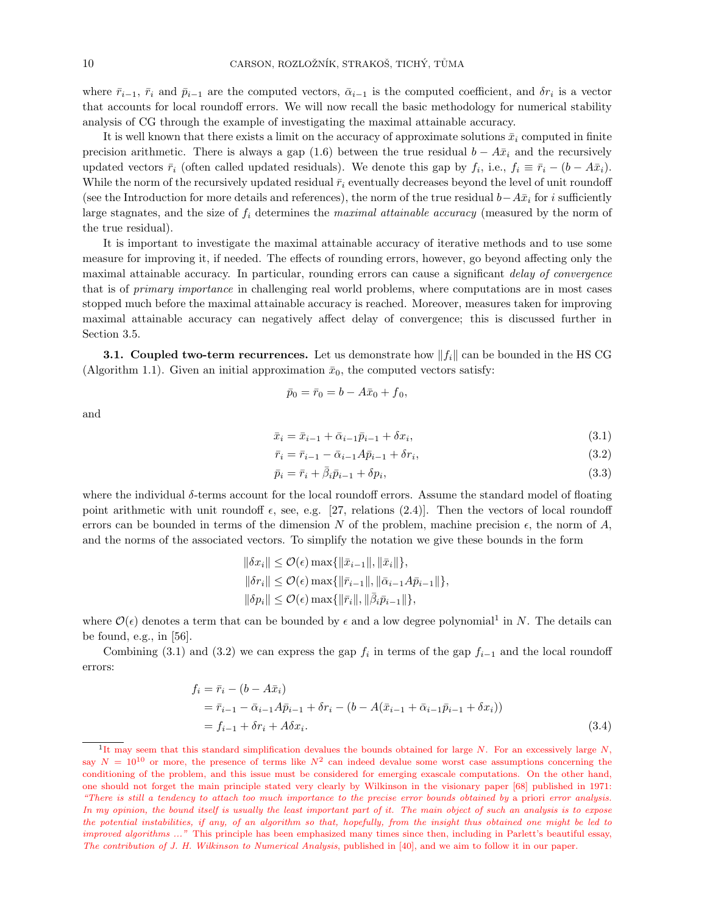where  $\bar{r}_{i-1}$ ,  $\bar{r}_i$  and  $\bar{p}_{i-1}$  are the computed vectors,  $\bar{\alpha}_{i-1}$  is the computed coefficient, and  $\delta r_i$  is a vector that accounts for local roundoff errors. We will now recall the basic methodology for numerical stability analysis of CG through the example of investigating the maximal attainable accuracy.

It is well known that there exists a limit on the accuracy of approximate solutions  $\bar{x}_i$  computed in finite precision arithmetic. There is always a gap (1.6) between the true residual  $b - A\bar{x}_i$  and the recursively updated vectors  $\bar{r}_i$  (often called updated residuals). We denote this gap by  $f_i$ , i.e.,  $f_i \equiv \bar{r}_i - (b - A\bar{x}_i)$ . While the norm of the recursively updated residual  $\bar{r}_i$  eventually decreases beyond the level of unit roundoff (see the Introduction for more details and references), the norm of the true residual  $b-\bar{A}x_i$  for i sufficiently large stagnates, and the size of  $f_i$  determines the maximal attainable accuracy (measured by the norm of the true residual).

It is important to investigate the maximal attainable accuracy of iterative methods and to use some measure for improving it, if needed. The effects of rounding errors, however, go beyond affecting only the maximal attainable accuracy. In particular, rounding errors can cause a significant *delay of convergence* that is of primary importance in challenging real world problems, where computations are in most cases stopped much before the maximal attainable accuracy is reached. Moreover, measures taken for improving maximal attainable accuracy can negatively affect delay of convergence; this is discussed further in Section 3.5.

**3.1. Coupled two-term recurrences.** Let us demonstrate how  $||f_i||$  can be bounded in the HS CG (Algorithm 1.1). Given an initial approximation  $\bar{x}_0$ , the computed vectors satisfy:

$$
\bar{p}_0 = \bar{r}_0 = b - A\bar{x}_0 + f_0,
$$

and

$$
\bar{x}_i = \bar{x}_{i-1} + \bar{\alpha}_{i-1}\bar{p}_{i-1} + \delta x_i, \tag{3.1}
$$

$$
\bar{r}_i = \bar{r}_{i-1} - \bar{\alpha}_{i-1} A \bar{p}_{i-1} + \delta r_i,
$$
\n(3.2)

$$
\bar{p}_i = \bar{r}_i + \bar{\beta}_i \bar{p}_{i-1} + \delta p_i, \tag{3.3}
$$

where the individual δ-terms account for the local roundoff errors. Assume the standard model of floating point arithmetic with unit roundoff  $\epsilon$ , see, e.g. [27, relations (2.4)]. Then the vectors of local roundoff errors can be bounded in terms of the dimension N of the problem, machine precision  $\epsilon$ , the norm of A, and the norms of the associated vectors. To simplify the notation we give these bounds in the form

$$
\|\delta x_i\| \leq \mathcal{O}(\epsilon) \max\{\|\bar{x}_{i-1}\|, \|\bar{x}_i\|\},\|\delta r_i\| \leq \mathcal{O}(\epsilon) \max\{\|\bar{r}_{i-1}\|, \|\bar{\alpha}_{i-1} A \bar{p}_{i-1}\|\},\|\delta p_i\| \leq \mathcal{O}(\epsilon) \max\{\|\bar{r}_i\|, \|\bar{\beta}_i \bar{p}_{i-1}\|\},
$$

where  $\mathcal{O}(\epsilon)$  denotes a term that can be bounded by  $\epsilon$  and a low degree polynomial<sup>1</sup> in N. The details can be found, e.g., in  $[56]$ .

Combining (3.1) and (3.2) we can express the gap  $f_i$  in terms of the gap  $f_{i-1}$  and the local roundoff errors:

$$
f_i = \bar{r}_i - (b - A\bar{x}_i)
$$
  
=  $\bar{r}_{i-1} - \bar{\alpha}_{i-1}A\bar{p}_{i-1} + \delta r_i - (b - A(\bar{x}_{i-1} + \bar{\alpha}_{i-1}\bar{p}_{i-1} + \delta x_i))$   
=  $f_{i-1} + \delta r_i + A\delta x_i.$  (3.4)

<sup>&</sup>lt;sup>1</sup>It may seem that this standard simplification devalues the bounds obtained for large N. For an excessively large N, say  $N = 10^{10}$  or more, the presence of terms like  $N^2$  can indeed devalue some worst case assumptions concerning the conditioning of the problem, and this issue must be considered for emerging exascale computations. On the other hand, one should not forget the main principle stated very clearly by Wilkinson in the visionary paper [68] published in 1971: "There is still a tendency to attach too much importance to the precise error bounds obtained by a priori error analysis. In my opinion, the bound itself is usually the least important part of it. The main object of such an analysis is to expose the potential instabilities, if any, of an algorithm so that, hopefully, from the insight thus obtained one might be led to improved algorithms ..." This principle has been emphasized many times since then, including in Parlett's beautiful essay, The contribution of J. H. Wilkinson to Numerical Analysis, published in [40], and we aim to follow it in our paper.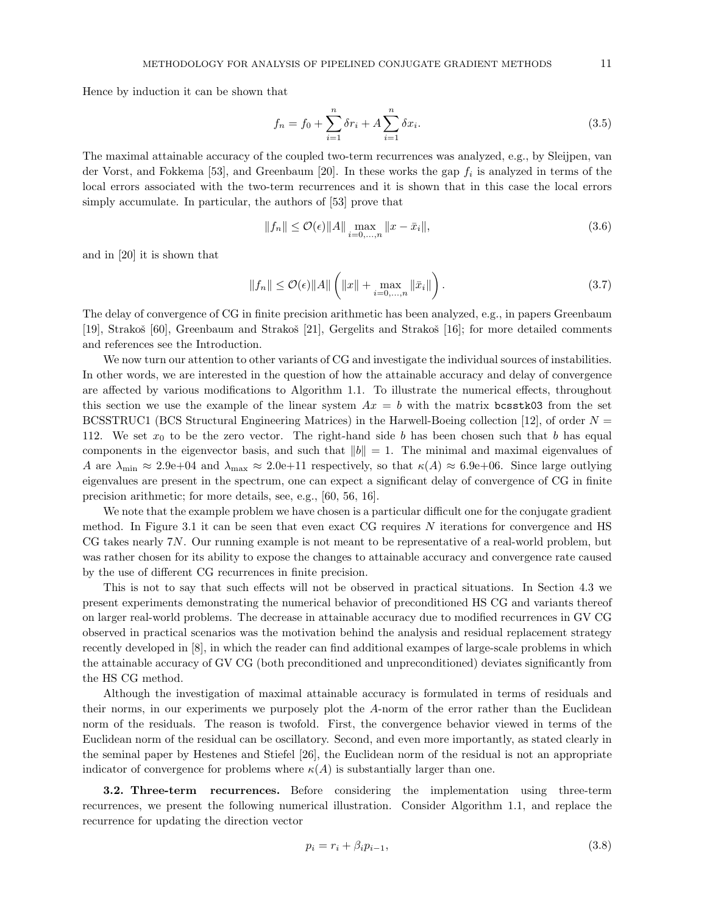Hence by induction it can be shown that

$$
f_n = f_0 + \sum_{i=1}^n \delta r_i + A \sum_{i=1}^n \delta x_i.
$$
 (3.5)

The maximal attainable accuracy of the coupled two-term recurrences was analyzed, e.g., by Sleijpen, van der Vorst, and Fokkema [53], and Greenbaum [20]. In these works the gap  $f_i$  is analyzed in terms of the local errors associated with the two-term recurrences and it is shown that in this case the local errors simply accumulate. In particular, the authors of [53] prove that

$$
||f_n|| \le \mathcal{O}(\epsilon) ||A|| \max_{i=0,\dots,n} ||x - \bar{x}_i||,
$$
\n(3.6)

and in [20] it is shown that

$$
||f_n|| \le \mathcal{O}(\epsilon) ||A|| \left( ||x|| + \max_{i=0,\dots,n} ||\bar{x}_i|| \right).
$$
 (3.7)

The delay of convergence of CG in finite precision arithmetic has been analyzed, e.g., in papers Greenbaum [19], Strakoš [60], Greenbaum and Strakoš [21], Gergelits and Strakoš [16]; for more detailed comments and references see the Introduction.

We now turn our attention to other variants of CG and investigate the individual sources of instabilities. In other words, we are interested in the question of how the attainable accuracy and delay of convergence are affected by various modifications to Algorithm 1.1. To illustrate the numerical effects, throughout this section we use the example of the linear system  $Ax = b$  with the matrix bcsstk03 from the set BCSSTRUC1 (BCS Structural Engineering Matrices) in the Harwell-Boeing collection [12], of order  $N =$ 112. We set  $x_0$  to be the zero vector. The right-hand side b has been chosen such that b has equal components in the eigenvector basis, and such that  $||b|| = 1$ . The minimal and maximal eigenvalues of A are  $\lambda_{\rm min} \approx 2.9e+04$  and  $\lambda_{\rm max} \approx 2.0e+11$  respectively, so that  $\kappa(A) \approx 6.9e+06$ . Since large outlying eigenvalues are present in the spectrum, one can expect a significant delay of convergence of CG in finite precision arithmetic; for more details, see, e.g., [60, 56, 16].

We note that the example problem we have chosen is a particular difficult one for the conjugate gradient method. In Figure 3.1 it can be seen that even exact CG requires N iterations for convergence and HS CG takes nearly 7N. Our running example is not meant to be representative of a real-world problem, but was rather chosen for its ability to expose the changes to attainable accuracy and convergence rate caused by the use of different CG recurrences in finite precision.

This is not to say that such effects will not be observed in practical situations. In Section 4.3 we present experiments demonstrating the numerical behavior of preconditioned HS CG and variants thereof on larger real-world problems. The decrease in attainable accuracy due to modified recurrences in GV CG observed in practical scenarios was the motivation behind the analysis and residual replacement strategy recently developed in [8], in which the reader can find additional exampes of large-scale problems in which the attainable accuracy of GV CG (both preconditioned and unpreconditioned) deviates significantly from the HS CG method.

Although the investigation of maximal attainable accuracy is formulated in terms of residuals and their norms, in our experiments we purposely plot the A-norm of the error rather than the Euclidean norm of the residuals. The reason is twofold. First, the convergence behavior viewed in terms of the Euclidean norm of the residual can be oscillatory. Second, and even more importantly, as stated clearly in the seminal paper by Hestenes and Stiefel [26], the Euclidean norm of the residual is not an appropriate indicator of convergence for problems where  $\kappa(A)$  is substantially larger than one.

3.2. Three-term recurrences. Before considering the implementation using three-term recurrences, we present the following numerical illustration. Consider Algorithm 1.1, and replace the recurrence for updating the direction vector

$$
p_i = r_i + \beta_i p_{i-1},\tag{3.8}
$$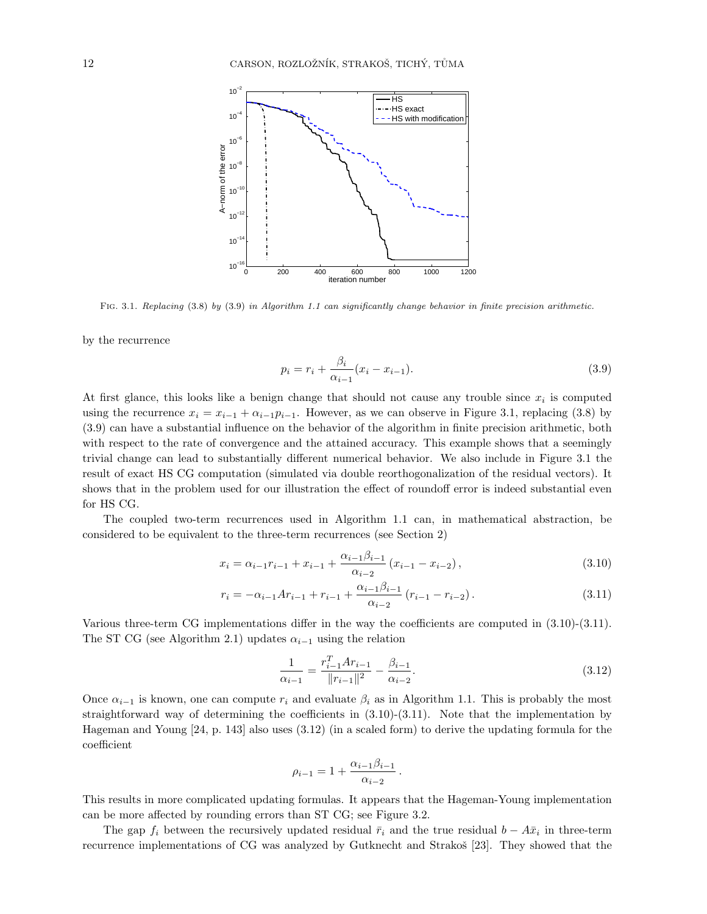

FIG. 3.1. Replacing (3.8) by (3.9) in Algorithm 1.1 can significantly change behavior in finite precision arithmetic.

by the recurrence

$$
p_i = r_i + \frac{\beta_i}{\alpha_{i-1}} (x_i - x_{i-1}).
$$
\n(3.9)

At first glance, this looks like a benign change that should not cause any trouble since  $x_i$  is computed using the recurrence  $x_i = x_{i-1} + \alpha_{i-1} p_{i-1}$ . However, as we can observe in Figure 3.1, replacing (3.8) by (3.9) can have a substantial influence on the behavior of the algorithm in finite precision arithmetic, both with respect to the rate of convergence and the attained accuracy. This example shows that a seemingly trivial change can lead to substantially different numerical behavior. We also include in Figure 3.1 the result of exact HS CG computation (simulated via double reorthogonalization of the residual vectors). It shows that in the problem used for our illustration the effect of roundoff error is indeed substantial even for HS CG.

The coupled two-term recurrences used in Algorithm 1.1 can, in mathematical abstraction, be considered to be equivalent to the three-term recurrences (see Section 2)

$$
x_{i} = \alpha_{i-1}r_{i-1} + x_{i-1} + \frac{\alpha_{i-1}\beta_{i-1}}{\alpha_{i-2}}(x_{i-1} - x_{i-2}),
$$
\n(3.10)

$$
r_{i} = -\alpha_{i-1}Ar_{i-1} + r_{i-1} + \frac{\alpha_{i-1}\beta_{i-1}}{\alpha_{i-2}}(r_{i-1} - r_{i-2}).
$$
\n(3.11)

Various three-term CG implementations differ in the way the coefficients are computed in (3.10)-(3.11). The ST CG (see Algorithm 2.1) updates  $\alpha_{i-1}$  using the relation

$$
\frac{1}{\alpha_{i-1}} = \frac{r_{i-1}^T A r_{i-1}}{\|r_{i-1}\|^2} - \frac{\beta_{i-1}}{\alpha_{i-2}}.
$$
\n(3.12)

Once  $\alpha_{i-1}$  is known, one can compute  $r_i$  and evaluate  $\beta_i$  as in Algorithm 1.1. This is probably the most straightforward way of determining the coefficients in (3.10)-(3.11). Note that the implementation by Hageman and Young [24, p. 143] also uses (3.12) (in a scaled form) to derive the updating formula for the coefficient

$$
\rho_{i-1} = 1 + \frac{\alpha_{i-1}\beta_{i-1}}{\alpha_{i-2}}.
$$

This results in more complicated updating formulas. It appears that the Hageman-Young implementation can be more affected by rounding errors than ST CG; see Figure 3.2.

The gap  $f_i$  between the recursively updated residual  $\bar{r}_i$  and the true residual  $b - A\bar{x}_i$  in three-term recurrence implementations of CG was analyzed by Gutknecht and Strakoš [23]. They showed that the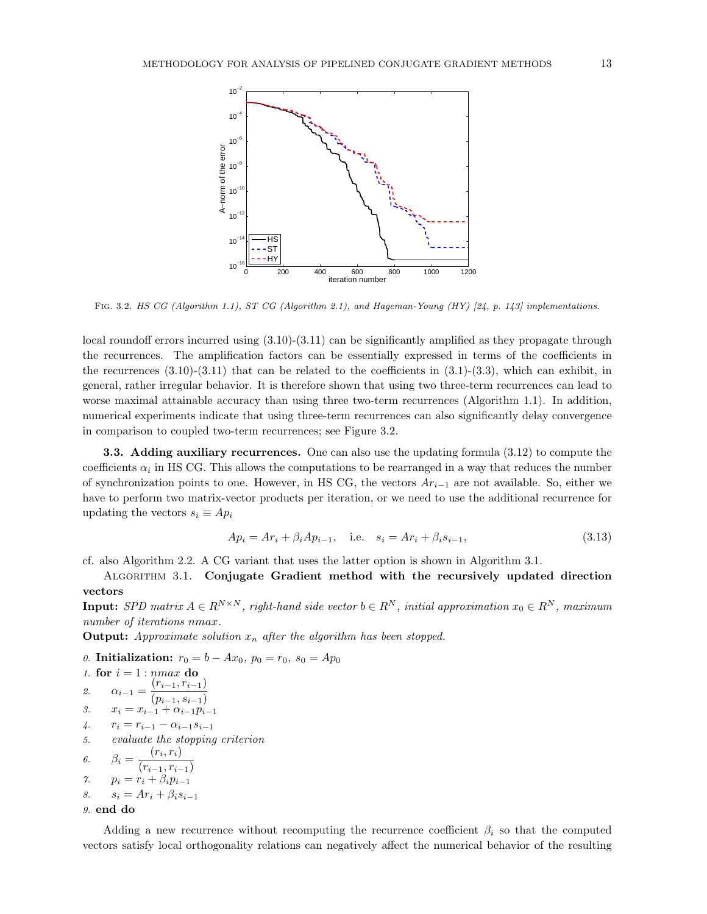

Fig. 3.2. HS CG (Algorithm 1.1), ST CG (Algorithm 2.1), and Hageman-Young (HY) [24, p. 143] implementations.

local roundoff errors incurred using  $(3.10)-(3.11)$  can be significantly amplified as they propagate through the recurrences. The amplification factors can be essentially expressed in terms of the coefficients in the recurrences  $(3.10)-(3.11)$  that can be related to the coefficients in  $(3.1)-(3.3)$ , which can exhibit, in general, rather irregular behavior. It is therefore shown that using two three-term recurrences can lead to worse maximal attainable accuracy than using three two-term recurrences (Algorithm 1.1). In addition, numerical experiments indicate that using three-term recurrences can also significantly delay convergence in comparison to coupled two-term recurrences; see Figure 3.2.

**3.3. Adding auxiliary recurrences.** One can also use the updating formula (3.12) to compute the coefficients  $\alpha_i$  in HS CG. This allows the computations to be rearranged in a way that reduces the number of synchronization points to one. However, in HS CG, the vectors  $Ar_{i-1}$  are not available. So, either we have to perform two matrix-vector products per iteration, or we need to use the additional recurrence for updating the vectors  $s_i \equiv Ap_i$ 

$$
Ap_i = Ar_i + \beta_i Ap_{i-1}, \quad \text{i.e.} \quad s_i = Ar_i + \beta_i s_{i-1}, \tag{3.13}
$$

cf. also Algorithm 2.2. A CG variant that uses the latter option is shown in Algorithm 3.1.

Algorithm 3.1. Conjugate Gradient method with the recursively updated direction vectors

**Input:** SPD matrix  $A \in R^{N \times N}$ , right-hand side vector  $b \in R^N$ , initial approximation  $x_0 \in R^N$ , maximum number of iterations nmax.

**Output:** Approximate solution  $x_n$  after the algorithm has been stopped.

0. **Initialization:**  $r_0 = b - Ax_0$ ,  $p_0 = r_0$ ,  $s_0 = Ap_0$ 

1. for  $i = 1 : nmax$  do 2.  $\alpha_{i-1} = \frac{(r_{i-1}, r_{i-1})}{(r_{i-1}, r_{i-1})}$  $(p_{i-1}, s_{i-1})$ 3.  $x_i = x_{i-1} + \alpha_{i-1}p_{i-1}$ 4.  $r_i = r_{i-1} - \alpha_{i-1} s_{i-1}$ 5. evaluate the stopping criterion 6.  $\beta_i = \frac{(r_i, r_i)}{\sqrt{n_i}}$  $(r_{i-1}, r_{i-1})$ 7.  $p_i = r_i + \beta_i p_{i-1}$ 8.  $s_i = Ar_i + \beta_i s_{i-1}$ 9. end do

Adding a new recurrence without recomputing the recurrence coefficient  $\beta_i$  so that the computed vectors satisfy local orthogonality relations can negatively affect the numerical behavior of the resulting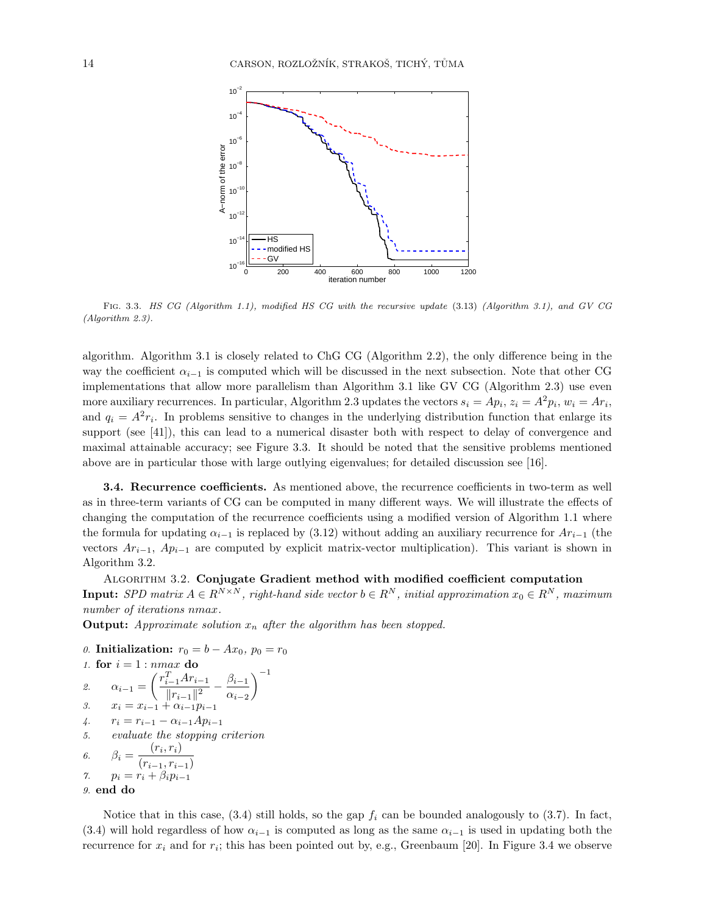

FIG. 3.3. HS CG (Algorithm 1.1), modified HS CG with the recursive update (3.13) (Algorithm 3.1), and GV CG (Algorithm 2.3).

algorithm. Algorithm 3.1 is closely related to ChG CG (Algorithm 2.2), the only difference being in the way the coefficient  $\alpha_{i-1}$  is computed which will be discussed in the next subsection. Note that other CG implementations that allow more parallelism than Algorithm 3.1 like GV CG (Algorithm 2.3) use even more auxiliary recurrences. In particular, Algorithm 2.3 updates the vectors  $s_i = Ap_i$ ,  $z_i = A^2p_i$ ,  $w_i = Ar_i$ , and  $q_i = A^2 r_i$ . In problems sensitive to changes in the underlying distribution function that enlarge its support (see [41]), this can lead to a numerical disaster both with respect to delay of convergence and maximal attainable accuracy; see Figure 3.3. It should be noted that the sensitive problems mentioned above are in particular those with large outlying eigenvalues; for detailed discussion see [16].

3.4. Recurrence coefficients. As mentioned above, the recurrence coefficients in two-term as well as in three-term variants of CG can be computed in many different ways. We will illustrate the effects of changing the computation of the recurrence coefficients using a modified version of Algorithm 1.1 where the formula for updating  $\alpha_{i-1}$  is replaced by (3.12) without adding an auxiliary recurrence for  $Ar_{i-1}$  (the vectors  $Ar_{i-1}$ ,  $Ap_{i-1}$  are computed by explicit matrix-vector multiplication). This variant is shown in Algorithm 3.2.

Algorithm 3.2. Conjugate Gradient method with modified coefficient computation **Input:** SPD matrix  $A \in R^{N \times N}$ , right-hand side vector  $b \in R^N$ , initial approximation  $x_0 \in R^N$ , maximum number of iterations nmax.

**Output:** Approximate solution  $x_n$  after the algorithm has been stopped.

0. **Initialization:** 
$$
r_0 = b - Ax_0, p_0 = r_0
$$

\n1. **for**  $i = 1 : \nmax \, do$ 

\n2.  $\alpha_{i-1} = \left( \frac{r_{i-1}^T A r_{i-1}}{\|r_{i-1}\|^2} - \frac{\beta_{i-1}}{\alpha_{i-2}} \right)^{-1}$ 

\n3.  $x_i = x_{i-1} + \alpha_{i-1} p_{i-1}$ 

\n4.  $r_i = r_{i-1} - \alpha_{i-1} A p_{i-1}$ 

\n5. evaluate the stopping criterion

\n6.  $\beta_i = \frac{(r_i, r_i)}{(r_{i-1}, r_{i-1})}$ 

\n7.  $p_i = r_i + \beta_i p_{i-1}$ 

\n9. **end do**

Notice that in this case,  $(3.4)$  still holds, so the gap  $f_i$  can be bounded analogously to  $(3.7)$ . In fact, (3.4) will hold regardless of how  $\alpha_{i-1}$  is computed as long as the same  $\alpha_{i-1}$  is used in updating both the recurrence for  $x_i$  and for  $r_i$ ; this has been pointed out by, e.g., Greenbaum [20]. In Figure 3.4 we observe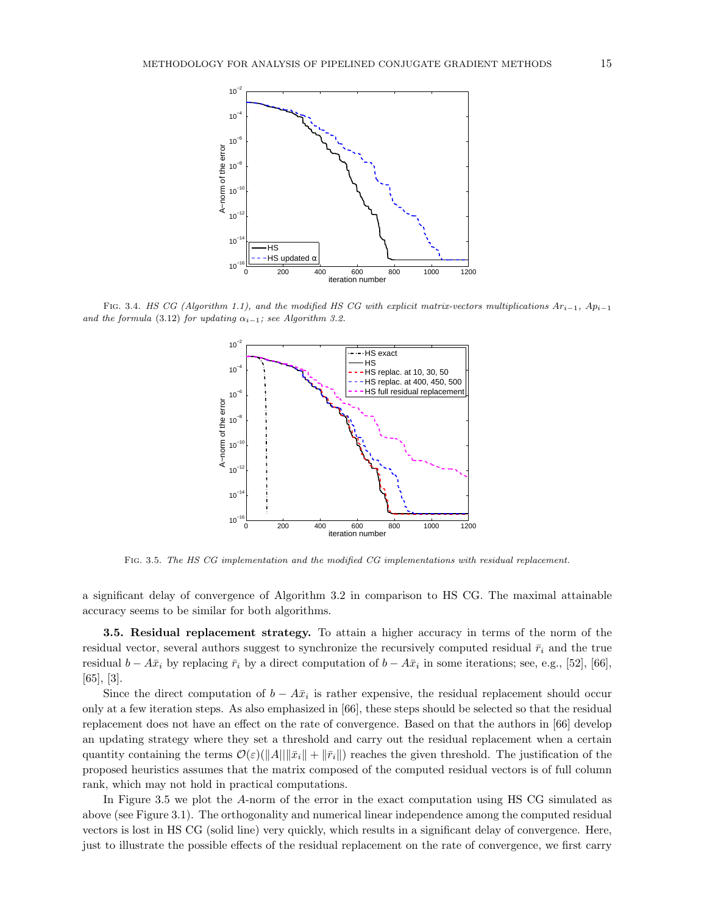

FIG. 3.4. HS CG (Algorithm 1.1), and the modified HS CG with explicit matrix-vectors multiplications  $Ar_{i-1}$ , Ap<sub>i-1</sub> and the formula (3.12) for updating  $\alpha_{i-1}$ ; see Algorithm 3.2.



Fig. 3.5. The HS CG implementation and the modified CG implementations with residual replacement.

a significant delay of convergence of Algorithm 3.2 in comparison to HS CG. The maximal attainable accuracy seems to be similar for both algorithms.

3.5. Residual replacement strategy. To attain a higher accuracy in terms of the norm of the residual vector, several authors suggest to synchronize the recursively computed residual  $\bar{r}_i$  and the true residual  $b - A\bar{x}_i$  by replacing  $\bar{r}_i$  by a direct computation of  $b - A\bar{x}_i$  in some iterations; see, e.g., [52], [66], [65], [3].

Since the direct computation of  $b - A\bar{x}_i$  is rather expensive, the residual replacement should occur only at a few iteration steps. As also emphasized in [66], these steps should be selected so that the residual replacement does not have an effect on the rate of convergence. Based on that the authors in [66] develop an updating strategy where they set a threshold and carry out the residual replacement when a certain quantity containing the terms  $\mathcal{O}(\varepsilon)(\|A\|\|\bar{x}_i\| + \|\bar{r}_i\|)$  reaches the given threshold. The justification of the proposed heuristics assumes that the matrix composed of the computed residual vectors is of full column rank, which may not hold in practical computations.

In Figure 3.5 we plot the A-norm of the error in the exact computation using HS CG simulated as above (see Figure 3.1). The orthogonality and numerical linear independence among the computed residual vectors is lost in HS CG (solid line) very quickly, which results in a significant delay of convergence. Here, just to illustrate the possible effects of the residual replacement on the rate of convergence, we first carry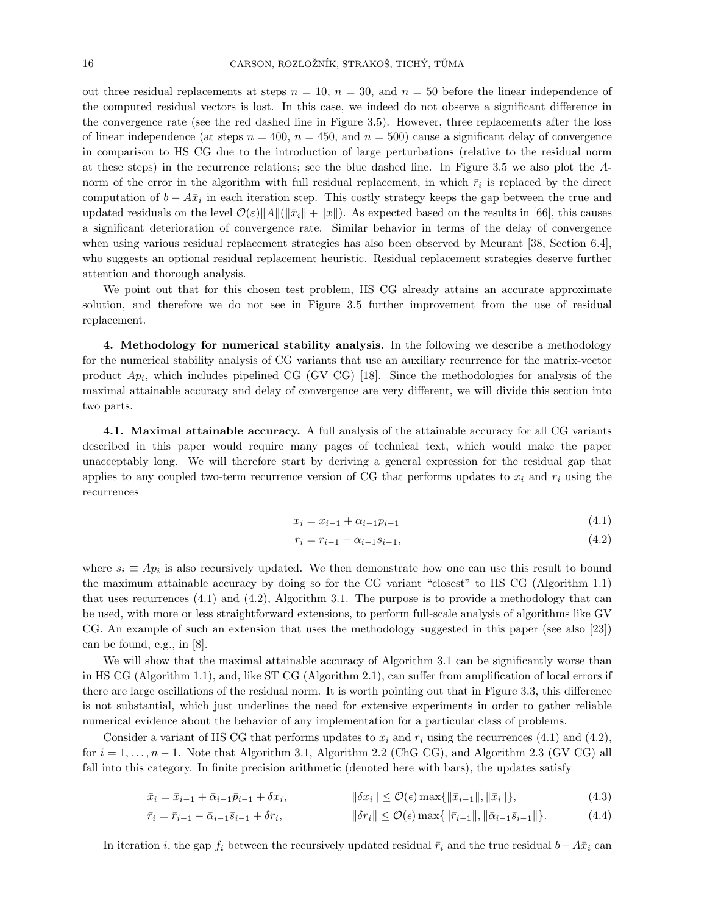out three residual replacements at steps  $n = 10$ ,  $n = 30$ , and  $n = 50$  before the linear independence of the computed residual vectors is lost. In this case, we indeed do not observe a significant difference in the convergence rate (see the red dashed line in Figure 3.5). However, three replacements after the loss of linear independence (at steps  $n = 400$ ,  $n = 450$ , and  $n = 500$ ) cause a significant delay of convergence in comparison to HS CG due to the introduction of large perturbations (relative to the residual norm at these steps) in the recurrence relations; see the blue dashed line. In Figure 3.5 we also plot the Anorm of the error in the algorithm with full residual replacement, in which  $\bar{r}_i$  is replaced by the direct computation of  $b - A\bar{x}_i$  in each iteration step. This costly strategy keeps the gap between the true and updated residuals on the level  $\mathcal{O}(\varepsilon)\|A\|(\|\bar{x}_i\|+\|x\|)$ . As expected based on the results in [66], this causes a significant deterioration of convergence rate. Similar behavior in terms of the delay of convergence when using various residual replacement strategies has also been observed by Meurant [38, Section 6.4], who suggests an optional residual replacement heuristic. Residual replacement strategies deserve further attention and thorough analysis.

We point out that for this chosen test problem, HS CG already attains an accurate approximate solution, and therefore we do not see in Figure 3.5 further improvement from the use of residual replacement.

4. Methodology for numerical stability analysis. In the following we describe a methodology for the numerical stability analysis of CG variants that use an auxiliary recurrence for the matrix-vector product  $Ap_i$ , which includes pipelined CG (GV CG) [18]. Since the methodologies for analysis of the maximal attainable accuracy and delay of convergence are very different, we will divide this section into two parts.

4.1. Maximal attainable accuracy. A full analysis of the attainable accuracy for all CG variants described in this paper would require many pages of technical text, which would make the paper unacceptably long. We will therefore start by deriving a general expression for the residual gap that applies to any coupled two-term recurrence version of CG that performs updates to  $x_i$  and  $r_i$  using the recurrences

$$
x_i = x_{i-1} + \alpha_{i-1} p_{i-1} \tag{4.1}
$$

$$
r_i = r_{i-1} - \alpha_{i-1} s_{i-1},\tag{4.2}
$$

where  $s_i \equiv Ap_i$  is also recursively updated. We then demonstrate how one can use this result to bound the maximum attainable accuracy by doing so for the CG variant "closest" to HS CG (Algorithm 1.1) that uses recurrences (4.1) and (4.2), Algorithm 3.1. The purpose is to provide a methodology that can be used, with more or less straightforward extensions, to perform full-scale analysis of algorithms like GV CG. An example of such an extension that uses the methodology suggested in this paper (see also [23]) can be found, e.g., in [8].

We will show that the maximal attainable accuracy of Algorithm 3.1 can be significantly worse than in HS CG (Algorithm 1.1), and, like ST CG (Algorithm 2.1), can suffer from amplification of local errors if there are large oscillations of the residual norm. It is worth pointing out that in Figure 3.3, this difference is not substantial, which just underlines the need for extensive experiments in order to gather reliable numerical evidence about the behavior of any implementation for a particular class of problems.

Consider a variant of HS CG that performs updates to  $x_i$  and  $r_i$  using the recurrences (4.1) and (4.2), for  $i = 1, \ldots, n - 1$ . Note that Algorithm 3.1, Algorithm 2.2 (ChG CG), and Algorithm 2.3 (GV CG) all fall into this category. In finite precision arithmetic (denoted here with bars), the updates satisfy

$$
\bar{x}_i = \bar{x}_{i-1} + \bar{\alpha}_{i-1}\bar{p}_{i-1} + \delta x_i, \qquad \|\delta x_i\| \leq \mathcal{O}(\epsilon) \max\{\|\bar{x}_{i-1}\|, \|\bar{x}_i\|\},\tag{4.3}
$$

$$
\bar{r}_i = \bar{r}_{i-1} - \bar{\alpha}_{i-1}\bar{s}_{i-1} + \delta r_i, \qquad \|\delta r_i\| \leq \mathcal{O}(\epsilon) \max\{\|\bar{r}_{i-1}\|, \|\bar{\alpha}_{i-1}\bar{s}_{i-1}\|\}. \tag{4.4}
$$

In iteration i, the gap  $f_i$  between the recursively updated residual  $\bar{r}_i$  and the true residual  $b-\bar{A}\bar{x}_i$  can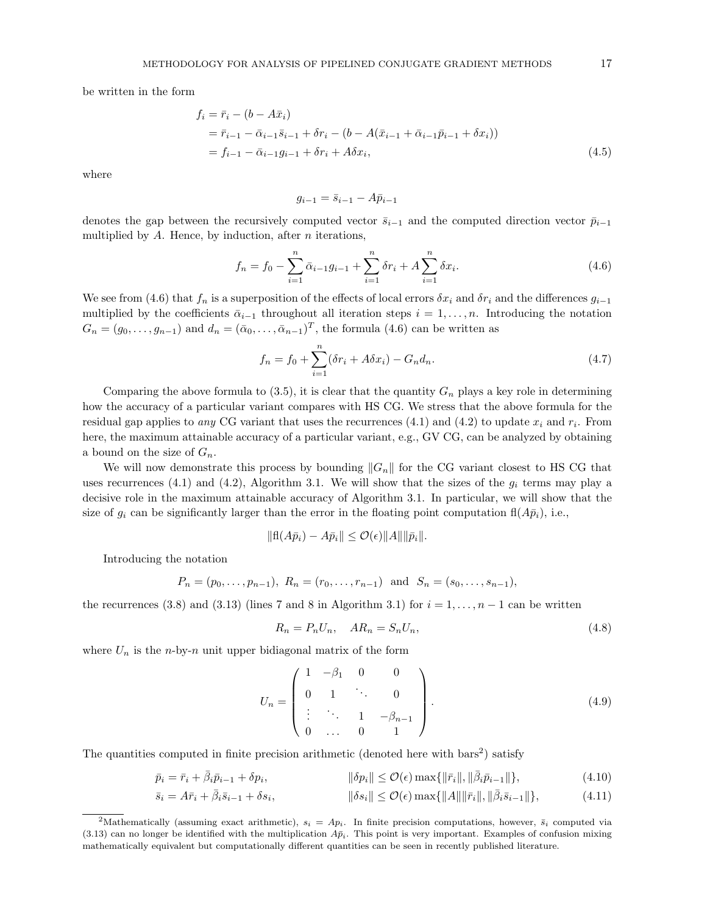be written in the form

$$
f_i = \bar{r}_i - (b - A\bar{x}_i)
$$
  
=  $\bar{r}_{i-1} - \bar{\alpha}_{i-1}\bar{s}_{i-1} + \delta r_i - (b - A(\bar{x}_{i-1} + \bar{\alpha}_{i-1}\bar{p}_{i-1} + \delta x_i))$   
=  $f_{i-1} - \bar{\alpha}_{i-1}g_{i-1} + \delta r_i + A\delta x_i,$  (4.5)

where

$$
g_{i-1} = \bar{s}_{i-1} - A\bar{p}_{i-1}
$$

denotes the gap between the recursively computed vector  $\bar{s}_{i-1}$  and the computed direction vector  $\bar{p}_{i-1}$ multiplied by  $A$ . Hence, by induction, after  $n$  iterations,

$$
f_n = f_0 - \sum_{i=1}^n \bar{\alpha}_{i-1} g_{i-1} + \sum_{i=1}^n \delta r_i + A \sum_{i=1}^n \delta x_i.
$$
 (4.6)

We see from (4.6) that  $f_n$  is a superposition of the effects of local errors  $\delta x_i$  and  $\delta r_i$  and the differences  $g_{i-1}$ multiplied by the coefficients  $\bar{\alpha}_{i-1}$  throughout all iteration steps  $i = 1, \ldots, n$ . Introducing the notation  $G_n = (g_0, \ldots, g_{n-1})$  and  $d_n = (\bar{\alpha}_0, \ldots, \bar{\alpha}_{n-1})^T$ , the formula  $(4.6)$  can be written as

$$
f_n = f_0 + \sum_{i=1}^{n} (\delta r_i + A \delta x_i) - G_n d_n.
$$
 (4.7)

Comparing the above formula to  $(3.5)$ , it is clear that the quantity  $G_n$  plays a key role in determining how the accuracy of a particular variant compares with HS CG. We stress that the above formula for the residual gap applies to *any* CG variant that uses the recurrences  $(4.1)$  and  $(4.2)$  to update  $x_i$  and  $r_i$ . From here, the maximum attainable accuracy of a particular variant, e.g., GV CG, can be analyzed by obtaining a bound on the size of  $G_n$ .

We will now demonstrate this process by bounding  $\|G_n\|$  for the CG variant closest to HS CG that uses recurrences (4.1) and (4.2), Algorithm 3.1. We will show that the sizes of the  $g_i$  terms may play a decisive role in the maximum attainable accuracy of Algorithm 3.1. In particular, we will show that the size of  $g_i$  can be significantly larger than the error in the floating point computation  $f(A\bar{p}_i)$ , i.e.,

$$
\|\mathbf{f}(A\bar{p}_i) - A\bar{p}_i\| \leq \mathcal{O}(\epsilon) \|A\| \|\bar{p}_i\|.
$$

Introducing the notation

$$
P_n = (p_0, ..., p_{n-1}), R_n = (r_0, ..., r_{n-1})
$$
 and  $S_n = (s_0, ..., s_{n-1}),$ 

the recurrences (3.8) and (3.13) (lines 7 and 8 in Algorithm 3.1) for  $i = 1, \ldots, n - 1$  can be written

$$
R_n = P_n U_n, \quad AR_n = S_n U_n,\tag{4.8}
$$

where  $U_n$  is the *n*-by-*n* unit upper bidiagonal matrix of the form

$$
U_n = \begin{pmatrix} 1 & -\beta_1 & 0 & 0 \\ 0 & 1 & \ddots & 0 \\ \vdots & \ddots & 1 & -\beta_{n-1} \\ 0 & \dots & 0 & 1 \end{pmatrix}.
$$
 (4.9)

The quantities computed in finite precision arithmetic (denoted here with  $bars<sup>2</sup>$ ) satisfy

$$
\bar{p}_i = \bar{r}_i + \bar{\beta}_i \bar{p}_{i-1} + \delta p_i, \qquad \|\delta p_i\| \leq \mathcal{O}(\epsilon) \max\{\|\bar{r}_i\|, \|\bar{\beta}_i \bar{p}_{i-1}\|\}, \tag{4.10}
$$

$$
\bar{s}_i = A\bar{r}_i + \bar{\beta}_i \bar{s}_{i-1} + \delta s_i, \qquad \|\delta s_i\| \leq \mathcal{O}(\epsilon) \max\{\|A\| \|\bar{r}_i\|, \|\bar{\beta}_i \bar{s}_{i-1}\|\}, \tag{4.11}
$$

<sup>&</sup>lt;sup>2</sup>Mathematically (assuming exact arithmetic),  $s_i = Ap_i$ . In finite precision computations, however,  $\bar{s}_i$  computed via (3.13) can no longer be identified with the multiplication  $A\bar{p}_i$ . This point is very important. Examples of confusion mixing mathematically equivalent but computationally different quantities can be seen in recently published literature.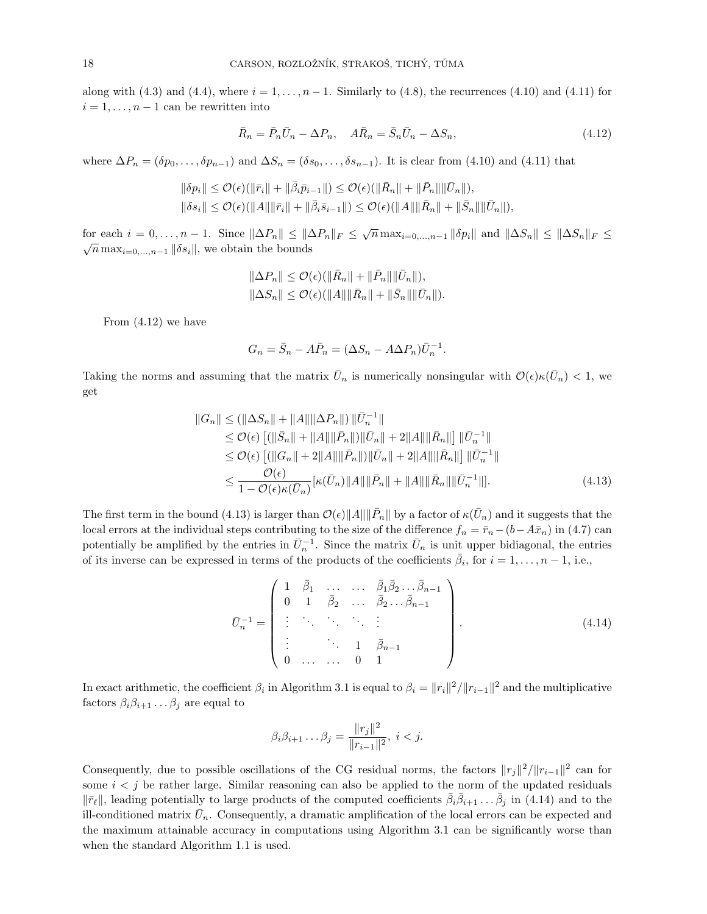along with (4.3) and (4.4), where  $i = 1, \ldots, n - 1$ . Similarly to (4.8), the recurrences (4.10) and (4.11) for  $i = 1, \ldots, n - 1$  can be rewritten into

$$
\bar{R}_n = \bar{P}_n \bar{U}_n - \Delta P_n, \quad A\bar{R}_n = \bar{S}_n \bar{U}_n - \Delta S_n,
$$
\n(4.12)

where  $\Delta P_n = (\delta p_0, \ldots, \delta p_{n-1})$  and  $\Delta S_n = (\delta s_0, \ldots, \delta s_{n-1})$ . It is clear from (4.10) and (4.11) that

$$
\begin{aligned} \|\delta p_i\| &\leq \mathcal{O}(\epsilon)(\|\bar{r}_i\| + \|\bar{\beta}_i\bar{p}_{i-1}\|) \leq \mathcal{O}(\epsilon)(\|\bar{R}_n\| + \|\bar{P}_n\| \|\bar{U}_n\|),\\ \|\delta s_i\| &\leq \mathcal{O}(\epsilon)(\|A\| \|\bar{r}_i\| + \|\bar{\beta}_i\bar{s}_{i-1}\|) \leq \mathcal{O}(\epsilon)(\|A\| \|\bar{R}_n\| + \|\bar{S}_n\| \|\bar{U}_n\|), \end{aligned}
$$

for each  $i = 0, ..., n-1$ . Since  $\|\Delta P_n\| \le \|\Delta P_n\|_F \le \sqrt{n} \max_{i=0,...,n-1} \|\delta p_i\|$  and  $\|\Delta S_n\| \le \|\Delta S_n\|_F \le$  $\sqrt{n} \max_{i=0,\dots,n-1} ||\delta s_i||$ , we obtain the bounds

$$
\|\Delta P_n\| \leq \mathcal{O}(\epsilon)(\|\bar{R}_n\| + \|\bar{P}_n\| \|\bar{U}_n\|),
$$
  

$$
\|\Delta S_n\| \leq \mathcal{O}(\epsilon)(\|A\| \|\bar{R}_n\| + \|\bar{S}_n\| \|\bar{U}_n\|).
$$

From (4.12) we have

$$
G_n = \bar{S}_n - A\bar{P}_n = (\Delta S_n - A\Delta P_n)\bar{U}_n^{-1}.
$$

Taking the norms and assuming that the matrix  $\bar{U}_n$  is numerically nonsingular with  $\mathcal{O}(\epsilon)\kappa(\bar{U}_n) < 1$ , we get

$$
||G_n|| \leq (||\Delta S_n|| + ||A|| ||\Delta P_n||) ||\bar{U}_n^{-1}||
$$
  
\n
$$
\leq \mathcal{O}(\epsilon) [(||\bar{S}_n|| + ||A|| ||\bar{P}_n||) ||\bar{U}_n|| + 2||A|| ||\bar{R}_n||] ||\bar{U}_n^{-1}||
$$
  
\n
$$
\leq \mathcal{O}(\epsilon) [(||G_n|| + 2||A|| ||\bar{P}_n||) ||\bar{U}_n|| + 2||A|| ||\bar{R}_n||] ||\bar{U}_n^{-1}||
$$
  
\n
$$
\leq \frac{\mathcal{O}(\epsilon)}{1 - \mathcal{O}(\epsilon)\kappa(\bar{U}_n)} [\kappa(\bar{U}_n)||A|| ||\bar{P}_n|| + ||A|| ||\bar{R}_n|| ||\bar{U}_n^{-1}||].
$$
\n(4.13)

The first term in the bound (4.13) is larger than  $\mathcal{O}(\epsilon) ||A|| ||\bar{P}_n||$  by a factor of  $\kappa(\bar{U}_n)$  and it suggests that the local errors at the individual steps contributing to the size of the difference  $f_n = \bar{r}_n - (b - A\bar{x}_n)$  in (4.7) can potentially be amplified by the entries in  $\bar{U}_n^{-1}$ . Since the matrix  $\bar{U}_n$  is unit upper bidiagonal, the entries of its inverse can be expressed in terms of the products of the coefficients  $\bar{\beta}_i$ , for  $i = 1, \ldots, n-1$ , i.e.,

$$
\bar{U}_n^{-1} = \begin{pmatrix} 1 & \bar{\beta}_1 & \dots & \dots & \bar{\beta}_1 \bar{\beta}_2 & \dots & \bar{\beta}_{n-1} \\ 0 & 1 & \bar{\beta}_2 & \dots & \bar{\beta}_2 & \dots & \bar{\beta}_{n-1} \\ \vdots & \ddots & \ddots & \ddots & \vdots & \vdots & \vdots & \vdots & \ddots & \vdots \\ \vdots & \ddots & 1 & \bar{\beta}_{n-1} & & & \\ 0 & \dots & \dots & 0 & 1 & & \end{pmatrix} .
$$
 (4.14)

In exact arithmetic, the coefficient  $\beta_i$  in Algorithm 3.1 is equal to  $\beta_i = ||r_i||^2/||r_{i-1}||^2$  and the multiplicative factors  $\beta_i \beta_{i+1} \dots \beta_j$  are equal to

$$
\beta_i \beta_{i+1} \dots \beta_j = \frac{\|r_j\|^2}{\|r_{i-1}\|^2}, \ i < j.
$$

Consequently, due to possible oscillations of the CG residual norms, the factors  $||r_j||^2/||r_{i-1}||^2$  can for some  $i < j$  be rather large. Similar reasoning can also be applied to the norm of the updated residuals  $\|\bar{r}_\ell\|$ , leading potentially to large products of the computed coefficients  $\bar{\beta}_i\bar{\beta}_{i+1}\dots\bar{\beta}_j$  in (4.14) and to the ill-conditioned matrix  $\bar{U}_n$ . Consequently, a dramatic amplification of the local errors can be expected and the maximum attainable accuracy in computations using Algorithm 3.1 can be significantly worse than when the standard Algorithm 1.1 is used.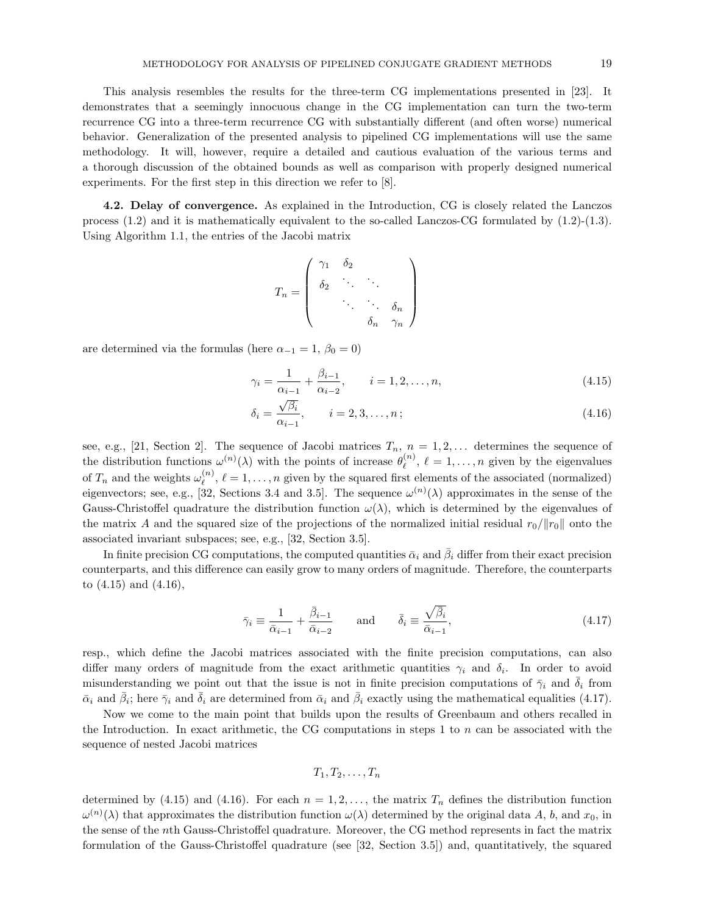This analysis resembles the results for the three-term CG implementations presented in [23]. It demonstrates that a seemingly innocuous change in the CG implementation can turn the two-term recurrence CG into a three-term recurrence CG with substantially different (and often worse) numerical behavior. Generalization of the presented analysis to pipelined CG implementations will use the same methodology. It will, however, require a detailed and cautious evaluation of the various terms and a thorough discussion of the obtained bounds as well as comparison with properly designed numerical experiments. For the first step in this direction we refer to [8].

4.2. Delay of convergence. As explained in the Introduction, CG is closely related the Lanczos process  $(1.2)$  and it is mathematically equivalent to the so-called Lanczos-CG formulated by  $(1.2)-(1.3)$ . Using Algorithm 1.1, the entries of the Jacobi matrix

$$
T_n = \begin{pmatrix} \gamma_1 & \delta_2 & & \\ \delta_2 & \cdot & \cdot & \cdot \\ & \cdot & \cdot & \cdot \\ & & \cdot & \cdot \\ & & & \delta_n & \gamma_n \end{pmatrix}
$$

are determined via the formulas (here  $\alpha_{-1} = 1, \beta_0 = 0$ )

$$
\gamma_i = \frac{1}{\alpha_{i-1}} + \frac{\beta_{i-1}}{\alpha_{i-2}}, \qquad i = 1, 2, \dots, n,
$$
\n(4.15)

$$
\delta_i = \frac{\sqrt{\beta_i}}{\alpha_{i-1}}, \qquad i = 2, 3, \dots, n \tag{4.16}
$$

see, e.g., [21, Section 2]. The sequence of Jacobi matrices  $T_n$ ,  $n = 1, 2, \ldots$  determines the sequence of the distribution functions  $\omega^{(n)}(\lambda)$  with the points of increase  $\theta_{\ell}^{(n)}$  $\ell^{(n)}$ ,  $\ell = 1, \ldots, n$  given by the eigenvalues of  $T_n$  and the weights  $\omega_{\ell}^{(n)}$  $\ell^{(n)}$ ,  $\ell = 1, \ldots, n$  given by the squared first elements of the associated (normalized) eigenvectors; see, e.g., [32, Sections 3.4 and 3.5]. The sequence  $\omega^{(n)}(\lambda)$  approximates in the sense of the Gauss-Christoffel quadrature the distribution function  $\omega(\lambda)$ , which is determined by the eigenvalues of the matrix A and the squared size of the projections of the normalized initial residual  $r_0/||r_0||$  onto the associated invariant subspaces; see, e.g., [32, Section 3.5].

In finite precision CG computations, the computed quantities  $\bar{\alpha}_i$  and  $\bar{\beta}_i$  differ from their exact precision counterparts, and this difference can easily grow to many orders of magnitude. Therefore, the counterparts to (4.15) and (4.16),

$$
\bar{\gamma}_i \equiv \frac{1}{\bar{\alpha}_{i-1}} + \frac{\bar{\beta}_{i-1}}{\bar{\alpha}_{i-2}} \quad \text{and} \quad \bar{\delta}_i \equiv \frac{\sqrt{\bar{\beta}_i}}{\bar{\alpha}_{i-1}}, \tag{4.17}
$$

resp., which define the Jacobi matrices associated with the finite precision computations, can also differ many orders of magnitude from the exact arithmetic quantities  $\gamma_i$  and  $\delta_i$ . In order to avoid misunderstanding we point out that the issue is not in finite precision computations of  $\bar{\gamma}_i$  and  $\delta_i$  from  $\bar{\alpha}_i$  and  $\bar{\beta}_i$ ; here  $\bar{\gamma}_i$  and  $\bar{\delta}_i$  are determined from  $\bar{\alpha}_i$  and  $\bar{\beta}_i$  exactly using the mathematical equalities (4.17).

Now we come to the main point that builds upon the results of Greenbaum and others recalled in the Introduction. In exact arithmetic, the CG computations in steps 1 to  $n$  can be associated with the sequence of nested Jacobi matrices

$$
T_1, T_2, \ldots, T_n
$$

determined by (4.15) and (4.16). For each  $n = 1, 2, \ldots$ , the matrix  $T_n$  defines the distribution function  $\omega^{(n)}(\lambda)$  that approximates the distribution function  $\omega(\lambda)$  determined by the original data A, b, and  $x_0$ , in the sense of the nth Gauss-Christoffel quadrature. Moreover, the CG method represents in fact the matrix formulation of the Gauss-Christoffel quadrature (see [32, Section 3.5]) and, quantitatively, the squared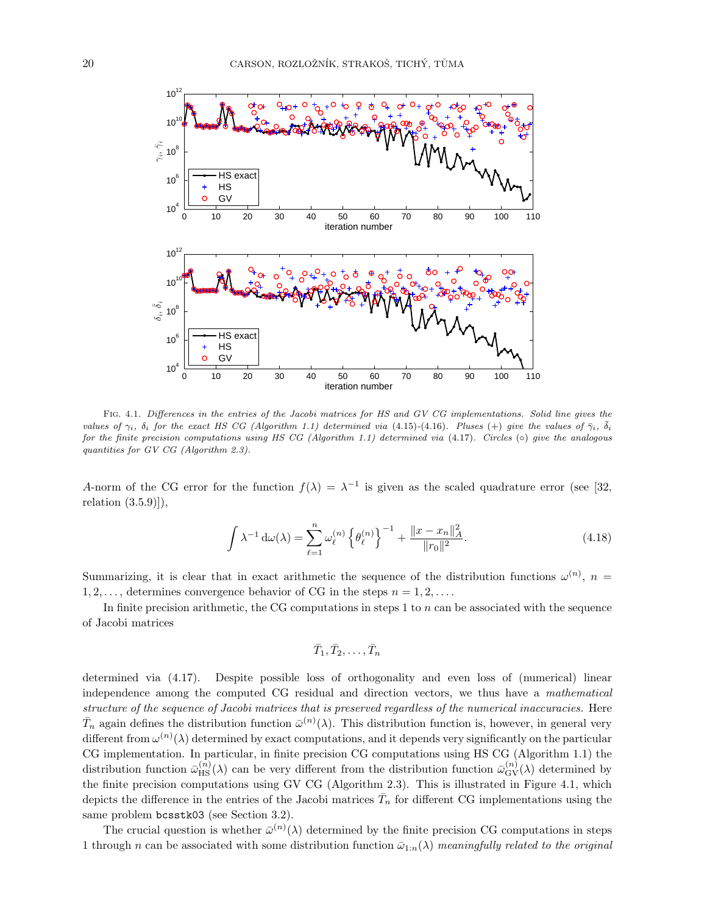

FIG. 4.1. Differences in the entries of the Jacobi matrices for HS and GV CG implementations. Solid line gives the values of  $\gamma_i$ ,  $\delta_i$  for the exact HS CG (Algorithm 1.1) determined via (4.15)-(4.16). Pluses (+) give the values of  $\bar{\gamma}_i$ ,  $\bar{\delta}_i$ for the finite precision computations using HS CG (Algorithm 1.1) determined via  $(4.17)$ . Circles ( $\circ$ ) give the analogous quantities for GV CG (Algorithm 2.3).

A-norm of the CG error for the function  $f(\lambda) = \lambda^{-1}$  is given as the scaled quadrature error (see [32, relation  $(3.5.9)$ ],

$$
\int \lambda^{-1} d\omega(\lambda) = \sum_{\ell=1}^{n} \omega_{\ell}^{(n)} \left\{ \theta_{\ell}^{(n)} \right\}^{-1} + \frac{\|x - x_{n}\|_{A}^{2}}{\|r_{0}\|^{2}}.
$$
\n(4.18)

Summarizing, it is clear that in exact arithmetic the sequence of the distribution functions  $\omega^{(n)}$ ,  $n =$  $1, 2, \ldots$ , determines convergence behavior of CG in the steps  $n = 1, 2, \ldots$ .

In finite precision arithmetic, the CG computations in steps  $1$  to  $n$  can be associated with the sequence of Jacobi matrices

$$
\bar{T}_1, \bar{T}_2, \ldots, \bar{T}_n
$$

determined via (4.17). Despite possible loss of orthogonality and even loss of (numerical) linear independence among the computed CG residual and direction vectors, we thus have a mathematical structure of the sequence of Jacobi matrices that is preserved regardless of the numerical inaccuracies. Here  $\bar{T}_n$  again defines the distribution function  $\bar{\omega}^{(n)}(\lambda)$ . This distribution function is, however, in general very different from  $\omega^{(n)}(\lambda)$  determined by exact computations, and it depends very significantly on the particular CG implementation. In particular, in finite precision CG computations using HS CG (Algorithm 1.1) the distribution function  $\bar{\omega}_{\rm HS}^{(n)}(\lambda)$  can be very different from the distribution function  $\bar{\omega}_{\rm GV}^{(n)}(\lambda)$  determined by the finite precision computations using GV CG (Algorithm 2.3). This is illustrated in Figure 4.1, which depicts the difference in the entries of the Jacobi matrices  $\bar{T}_n$  for different CG implementations using the same problem bcsstk03 (see Section 3.2).

The crucial question is whether  $\bar{\omega}^{(n)}(\lambda)$  determined by the finite precision CG computations in steps 1 through n can be associated with some distribution function  $\bar{\omega}_{1:n}(\lambda)$  meaningfully related to the original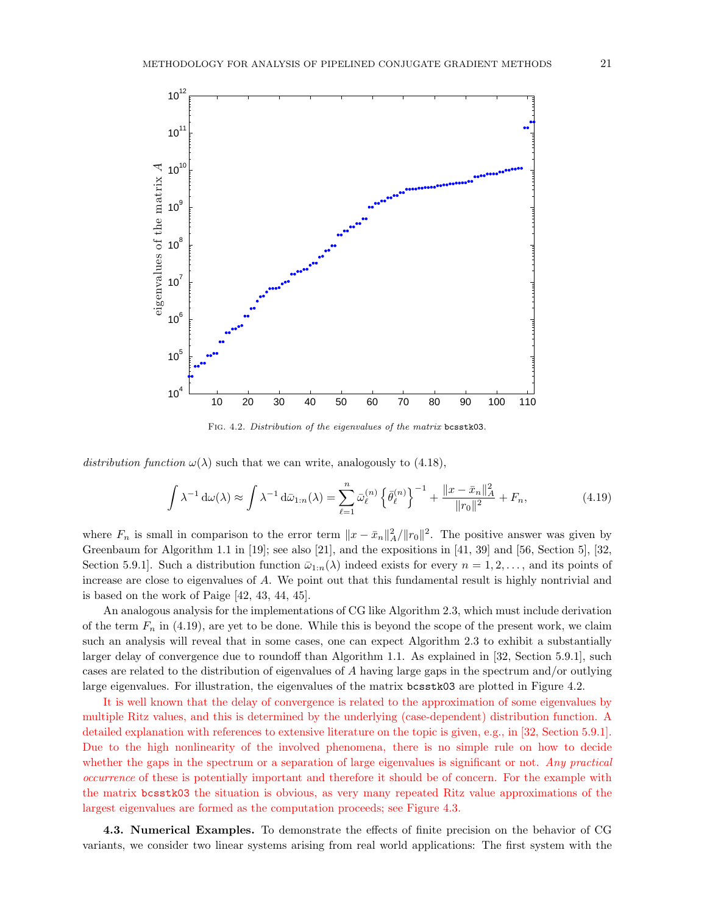

Fig. 4.2. Distribution of the eigenvalues of the matrix bcsstk03.

distribution function  $\omega(\lambda)$  such that we can write, analogously to (4.18),

$$
\int \lambda^{-1} d\omega(\lambda) \approx \int \lambda^{-1} d\bar{\omega}_{1:n}(\lambda) = \sum_{\ell=1}^n \bar{\omega}_{\ell}^{(n)} \left\{ \bar{\theta}_{\ell}^{(n)} \right\}^{-1} + \frac{\|x - \bar{x}_n\|_A^2}{\|r_0\|^2} + F_n,\tag{4.19}
$$

where  $F_n$  is small in comparison to the error term  $||x - \bar{x}_n||_A^2/||r_0||^2$ . The positive answer was given by Greenbaum for Algorithm 1.1 in [19]; see also [21], and the expositions in [41, 39] and [56, Section 5], [32, Section 5.9.1]. Such a distribution function  $\bar{\omega}_{1:n}(\lambda)$  indeed exists for every  $n = 1, 2, \ldots$ , and its points of increase are close to eigenvalues of A. We point out that this fundamental result is highly nontrivial and is based on the work of Paige [42, 43, 44, 45].

An analogous analysis for the implementations of CG like Algorithm 2.3, which must include derivation of the term  $F_n$  in (4.19), are yet to be done. While this is beyond the scope of the present work, we claim such an analysis will reveal that in some cases, one can expect Algorithm 2.3 to exhibit a substantially larger delay of convergence due to roundoff than Algorithm 1.1. As explained in [32, Section 5.9.1], such cases are related to the distribution of eigenvalues of A having large gaps in the spectrum and/or outlying large eigenvalues. For illustration, the eigenvalues of the matrix bcsstk03 are plotted in Figure 4.2.

It is well known that the delay of convergence is related to the approximation of some eigenvalues by multiple Ritz values, and this is determined by the underlying (case-dependent) distribution function. A detailed explanation with references to extensive literature on the topic is given, e.g., in [32, Section 5.9.1]. Due to the high nonlinearity of the involved phenomena, there is no simple rule on how to decide whether the gaps in the spectrum or a separation of large eigenvalues is significant or not. Any practical occurrence of these is potentially important and therefore it should be of concern. For the example with the matrix bcsstk03 the situation is obvious, as very many repeated Ritz value approximations of the largest eigenvalues are formed as the computation proceeds; see Figure 4.3.

4.3. Numerical Examples. To demonstrate the effects of finite precision on the behavior of CG variants, we consider two linear systems arising from real world applications: The first system with the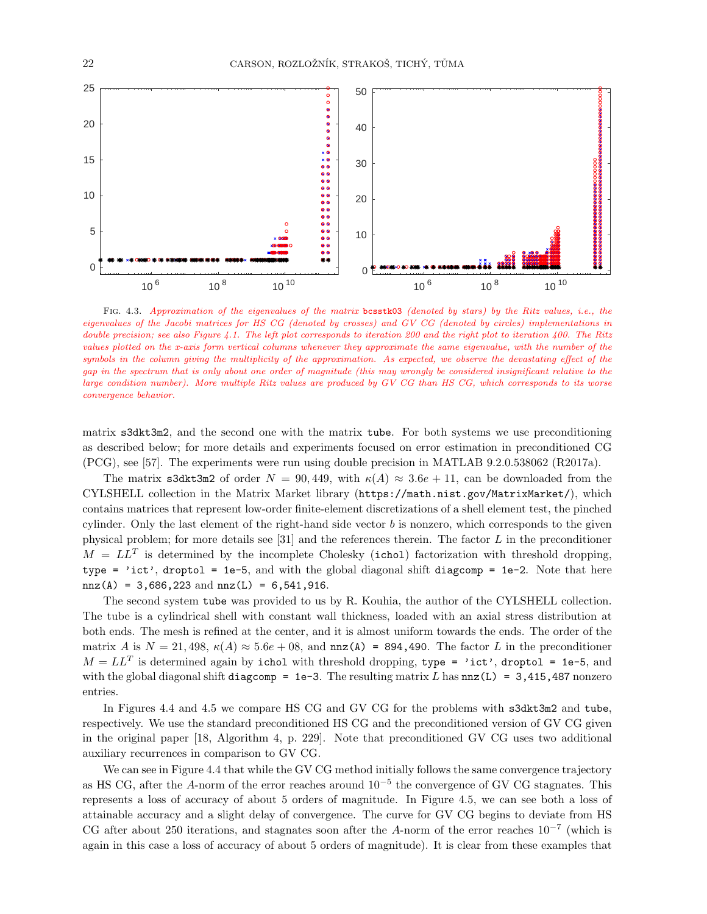

FIG. 4.3. Approximation of the eigenvalues of the matrix bcsstk03 (denoted by stars) by the Ritz values, i.e., the eigenvalues of the Jacobi matrices for HS CG (denoted by crosses) and GV CG (denoted by circles) implementations in double precision; see also Figure 4.1. The left plot corresponds to iteration 200 and the right plot to iteration 400. The Ritz values plotted on the x-axis form vertical columns whenever they approximate the same eigenvalue, with the number of the symbols in the column giving the multiplicity of the approximation. As expected, we observe the devastating effect of the gap in the spectrum that is only about one order of magnitude (this may wrongly be considered insignificant relative to the large condition number). More multiple Ritz values are produced by GV CG than HS CG, which corresponds to its worse convergence behavior.

matrix s3dkt3m2, and the second one with the matrix tube. For both systems we use preconditioning as described below; for more details and experiments focused on error estimation in preconditioned CG (PCG), see [57]. The experiments were run using double precision in MATLAB 9.2.0.538062 (R2017a).

The matrix s3dkt3m2 of order  $N = 90,449$ , with  $\kappa(A) \approx 3.6e + 11$ , can be downloaded from the CYLSHELL collection in the Matrix Market library (https://math.nist.gov/MatrixMarket/), which contains matrices that represent low-order finite-element discretizations of a shell element test, the pinched cylinder. Only the last element of the right-hand side vector  $b$  is nonzero, which corresponds to the given physical problem; for more details see  $[31]$  and the references therein. The factor  $L$  in the preconditioner  $M = LL^T$  is determined by the incomplete Cholesky (ichol) factorization with threshold dropping, type = 'ict', droptol = 1e-5, and with the global diagonal shift diagcomp = 1e-2. Note that here  $nnz(A) = 3,686,223$  and  $nnz(L) = 6,541,916$ .

The second system tube was provided to us by R. Kouhia, the author of the CYLSHELL collection. The tube is a cylindrical shell with constant wall thickness, loaded with an axial stress distribution at both ends. The mesh is refined at the center, and it is almost uniform towards the ends. The order of the matrix A is  $N = 21,498, \kappa(A) \approx 5.6e + 0.8$ , and  $n\pi(\mathbf{A}) = 894,490$ . The factor L in the preconditioner  $M = LL^T$  is determined again by ichol with threshold dropping, type = 'ict', droptol = 1e-5, and with the global diagonal shift diagcomp = 1e-3. The resulting matrix L has  $nnz(L) = 3,415,487$  nonzero entries.

In Figures 4.4 and 4.5 we compare HS CG and GV CG for the problems with s3dkt3m2 and tube, respectively. We use the standard preconditioned HS CG and the preconditioned version of GV CG given in the original paper [18, Algorithm 4, p. 229]. Note that preconditioned GV CG uses two additional auxiliary recurrences in comparison to GV CG.

We can see in Figure 4.4 that while the GV CG method initially follows the same convergence trajectory as HS CG, after the A-norm of the error reaches around  $10^{-5}$  the convergence of GV CG stagnates. This represents a loss of accuracy of about 5 orders of magnitude. In Figure 4.5, we can see both a loss of attainable accuracy and a slight delay of convergence. The curve for GV CG begins to deviate from HS CG after about 250 iterations, and stagnates soon after the A-norm of the error reaches  $10^{-7}$  (which is again in this case a loss of accuracy of about 5 orders of magnitude). It is clear from these examples that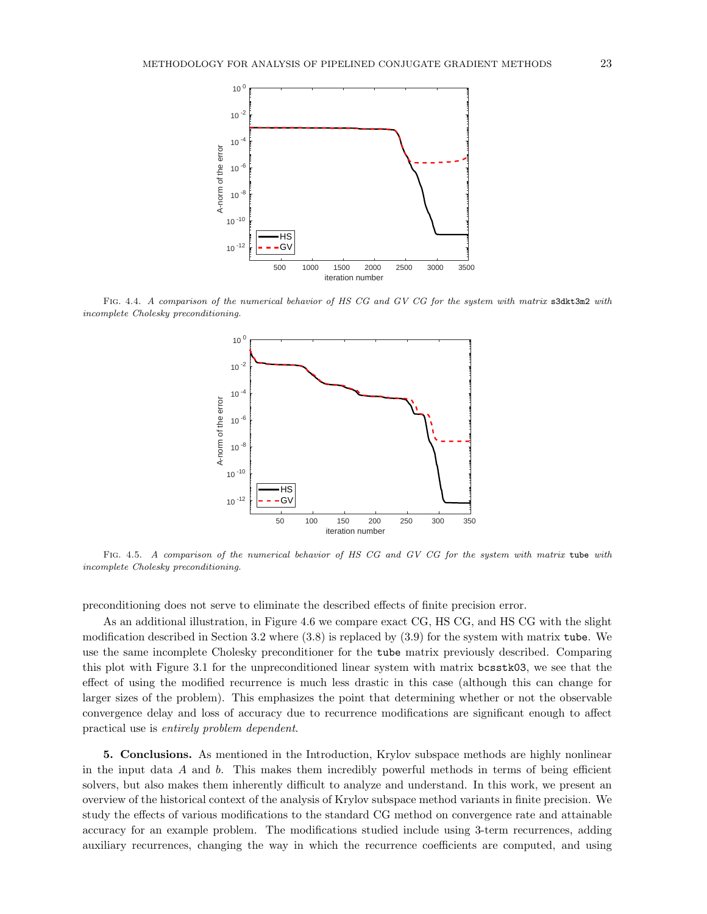

FIG. 4.4. A comparison of the numerical behavior of HS CG and GV CG for the system with matrix s3dkt3m2 with incomplete Cholesky preconditioning.



FIG. 4.5. A comparison of the numerical behavior of HS CG and GV CG for the system with matrix tube with incomplete Cholesky preconditioning.

preconditioning does not serve to eliminate the described effects of finite precision error.

As an additional illustration, in Figure 4.6 we compare exact CG, HS CG, and HS CG with the slight modification described in Section 3.2 where (3.8) is replaced by (3.9) for the system with matrix tube. We use the same incomplete Cholesky preconditioner for the tube matrix previously described. Comparing this plot with Figure 3.1 for the unpreconditioned linear system with matrix bcsstk03, we see that the effect of using the modified recurrence is much less drastic in this case (although this can change for larger sizes of the problem). This emphasizes the point that determining whether or not the observable convergence delay and loss of accuracy due to recurrence modifications are significant enough to affect practical use is entirely problem dependent.

5. Conclusions. As mentioned in the Introduction, Krylov subspace methods are highly nonlinear in the input data  $A$  and  $b$ . This makes them incredibly powerful methods in terms of being efficient solvers, but also makes them inherently difficult to analyze and understand. In this work, we present an overview of the historical context of the analysis of Krylov subspace method variants in finite precision. We study the effects of various modifications to the standard CG method on convergence rate and attainable accuracy for an example problem. The modifications studied include using 3-term recurrences, adding auxiliary recurrences, changing the way in which the recurrence coefficients are computed, and using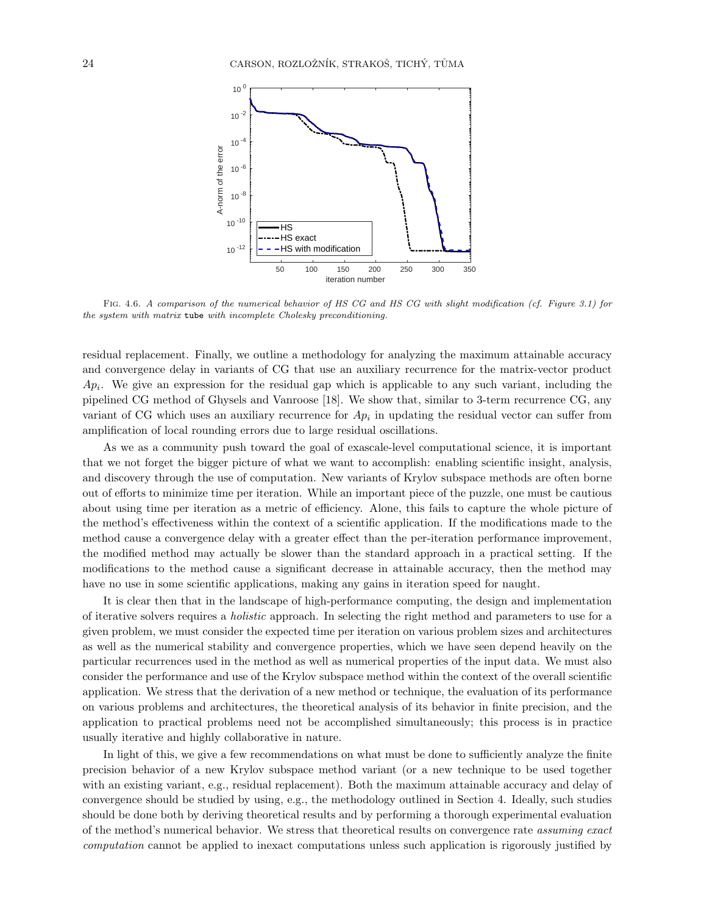

FIG. 4.6. A comparison of the numerical behavior of HS CG and HS CG with slight modification (cf. Figure 3.1) for the system with matrix tube with incomplete Cholesky preconditioning.

residual replacement. Finally, we outline a methodology for analyzing the maximum attainable accuracy and convergence delay in variants of CG that use an auxiliary recurrence for the matrix-vector product  $Ap<sub>i</sub>$ . We give an expression for the residual gap which is applicable to any such variant, including the pipelined CG method of Ghysels and Vanroose [18]. We show that, similar to 3-term recurrence CG, any variant of CG which uses an auxiliary recurrence for  $Ap<sub>i</sub>$  in updating the residual vector can suffer from amplification of local rounding errors due to large residual oscillations.

As we as a community push toward the goal of exascale-level computational science, it is important that we not forget the bigger picture of what we want to accomplish: enabling scientific insight, analysis, and discovery through the use of computation. New variants of Krylov subspace methods are often borne out of efforts to minimize time per iteration. While an important piece of the puzzle, one must be cautious about using time per iteration as a metric of efficiency. Alone, this fails to capture the whole picture of the method's effectiveness within the context of a scientific application. If the modifications made to the method cause a convergence delay with a greater effect than the per-iteration performance improvement, the modified method may actually be slower than the standard approach in a practical setting. If the modifications to the method cause a significant decrease in attainable accuracy, then the method may have no use in some scientific applications, making any gains in iteration speed for naught.

It is clear then that in the landscape of high-performance computing, the design and implementation of iterative solvers requires a holistic approach. In selecting the right method and parameters to use for a given problem, we must consider the expected time per iteration on various problem sizes and architectures as well as the numerical stability and convergence properties, which we have seen depend heavily on the particular recurrences used in the method as well as numerical properties of the input data. We must also consider the performance and use of the Krylov subspace method within the context of the overall scientific application. We stress that the derivation of a new method or technique, the evaluation of its performance on various problems and architectures, the theoretical analysis of its behavior in finite precision, and the application to practical problems need not be accomplished simultaneously; this process is in practice usually iterative and highly collaborative in nature.

In light of this, we give a few recommendations on what must be done to sufficiently analyze the finite precision behavior of a new Krylov subspace method variant (or a new technique to be used together with an existing variant, e.g., residual replacement). Both the maximum attainable accuracy and delay of convergence should be studied by using, e.g., the methodology outlined in Section 4. Ideally, such studies should be done both by deriving theoretical results and by performing a thorough experimental evaluation of the method's numerical behavior. We stress that theoretical results on convergence rate *assuming exact* computation cannot be applied to inexact computations unless such application is rigorously justified by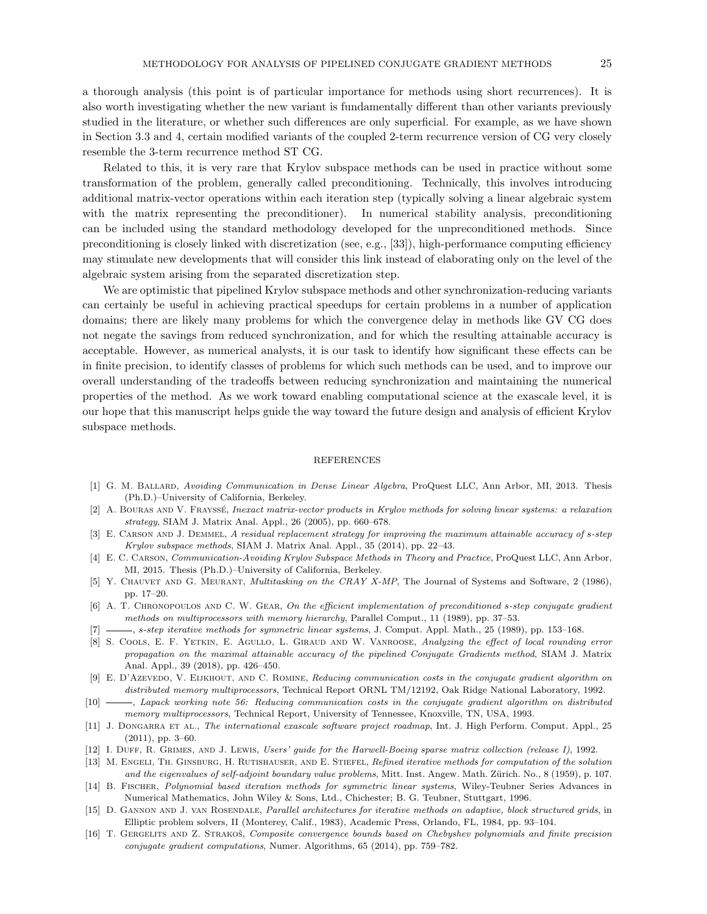a thorough analysis (this point is of particular importance for methods using short recurrences). It is also worth investigating whether the new variant is fundamentally different than other variants previously studied in the literature, or whether such differences are only superficial. For example, as we have shown in Section 3.3 and 4, certain modified variants of the coupled 2-term recurrence version of CG very closely resemble the 3-term recurrence method ST CG.

Related to this, it is very rare that Krylov subspace methods can be used in practice without some transformation of the problem, generally called preconditioning. Technically, this involves introducing additional matrix-vector operations within each iteration step (typically solving a linear algebraic system with the matrix representing the preconditioner). In numerical stability analysis, preconditioning can be included using the standard methodology developed for the unpreconditioned methods. Since preconditioning is closely linked with discretization (see, e.g., [33]), high-performance computing efficiency may stimulate new developments that will consider this link instead of elaborating only on the level of the algebraic system arising from the separated discretization step.

We are optimistic that pipelined Krylov subspace methods and other synchronization-reducing variants can certainly be useful in achieving practical speedups for certain problems in a number of application domains; there are likely many problems for which the convergence delay in methods like GV CG does not negate the savings from reduced synchronization, and for which the resulting attainable accuracy is acceptable. However, as numerical analysts, it is our task to identify how significant these effects can be in finite precision, to identify classes of problems for which such methods can be used, and to improve our overall understanding of the tradeoffs between reducing synchronization and maintaining the numerical properties of the method. As we work toward enabling computational science at the exascale level, it is our hope that this manuscript helps guide the way toward the future design and analysis of efficient Krylov subspace methods.

#### REFERENCES

- [1] G. M. Ballard, Avoiding Communication in Dense Linear Algebra, ProQuest LLC, Ann Arbor, MI, 2013. Thesis (Ph.D.)–University of California, Berkeley.
- [2] A. BOURAS AND V. FRAYSSÉ, Inexact matrix-vector products in Krylov methods for solving linear systems: a relaxation strategy, SIAM J. Matrix Anal. Appl., 26 (2005), pp. 660–678.
- [3] E. CARSON AND J. DEMMEL, A residual replacement strategy for improving the maximum attainable accuracy of s-step Krylov subspace methods, SIAM J. Matrix Anal. Appl., 35 (2014), pp. 22–43.
- [4] E. C. Carson, Communication-Avoiding Krylov Subspace Methods in Theory and Practice, ProQuest LLC, Ann Arbor, MI, 2015. Thesis (Ph.D.)–University of California, Berkeley.
- [5] Y. CHAUVET AND G. MEURANT, *Multitasking on the CRAY X-MP*, The Journal of Systems and Software, 2 (1986), pp. 17–20.
- [6] A. T. CHRONOPOULOS AND C. W. GEAR, On the efficient implementation of preconditioned s-step conjugate gradient methods on multiprocessors with memory hierarchy, Parallel Comput., 11 (1989), pp. 37–53.
- [7] , s-step iterative methods for symmetric linear systems, J. Comput. Appl. Math., 25 (1989), pp. 153–168.
- [8] S. COOLS, E. F. YETKIN, E. AGULLO, L. GIRAUD AND W. VANROOSE, Analyzing the effect of local rounding error propagation on the maximal attainable accuracy of the pipelined Conjugate Gradients method, SIAM J. Matrix Anal. Appl., 39 (2018), pp. 426–450.
- [9] E. D'Azevedo, V. EIJKHOUT, AND C. ROMINE, Reducing communication costs in the conjugate gradient algorithm on distributed memory multiprocessors, Technical Report ORNL TM/12192, Oak Ridge National Laboratory, 1992.
- [10] , Lapack working note 56: Reducing communication costs in the conjugate gradient algorithm on distributed memory multiprocessors, Technical Report, University of Tennessee, Knoxville, TN, USA, 1993.
- [11] J. DONGARRA ET AL., The international exascale software project roadmap, Int. J. High Perform. Comput. Appl., 25 (2011), pp. 3–60.
- [12] I. DUFF, R. GRIMES, AND J. LEWIS, Users' guide for the Harwell-Boeing sparse matrix collection (release I), 1992.
- [13] M. ENGELI, TH. GINSBURG, H. RUTISHAUSER, AND E. STIEFEL, Refined iterative methods for computation of the solution and the eigenvalues of self-adjoint boundary value problems, Mitt. Inst. Angew. Math. Zürich. No., 8 (1959), p. 107.
- [14] B. Fischer, Polynomial based iteration methods for symmetric linear systems, Wiley-Teubner Series Advances in Numerical Mathematics, John Wiley & Sons, Ltd., Chichester; B. G. Teubner, Stuttgart, 1996.
- [15] D. GANNON AND J. VAN ROSENDALE, Parallel architectures for iterative methods on adaptive, block structured grids, in Elliptic problem solvers, II (Monterey, Calif., 1983), Academic Press, Orlando, FL, 1984, pp. 93–104.
- [16] T. GERGELITS AND Z. STRAKOŠ, Composite convergence bounds based on Chebyshev polynomials and finite precision conjugate gradient computations, Numer. Algorithms, 65 (2014), pp. 759–782.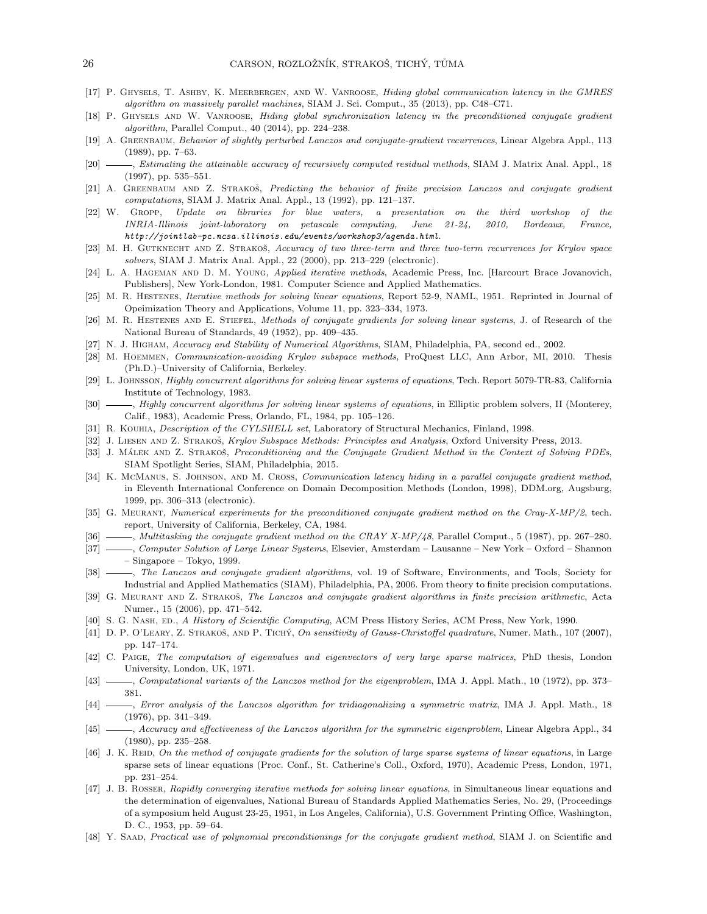- [17] P. GHYSELS, T. ASHBY, K. MEERBERGEN, AND W. VANROOSE, Hiding global communication latency in the GMRES algorithm on massively parallel machines, SIAM J. Sci. Comput., 35 (2013), pp. C48–C71.
- [18] P. GHYSELS AND W. VANROOSE, Hiding global synchronization latency in the preconditioned conjugate gradient algorithm, Parallel Comput., 40 (2014), pp. 224–238.
- [19] A. Greenbaum, Behavior of slightly perturbed Lanczos and conjugate-gradient recurrences, Linear Algebra Appl., 113 (1989), pp. 7–63.
- [20] Restimating the attainable accuracy of recursively computed residual methods, SIAM J. Matrix Anal. Appl., 18 (1997), pp. 535–551.
- [21] A. GREENBAUM AND Z. STRAKOŠ, Predicting the behavior of finite precision Lanczos and conjugate gradient computations, SIAM J. Matrix Anal. Appl., 13 (1992), pp. 121–137.
- [22] W. Gropp, Update on libraries for blue waters, a presentation on the third workshop of the INRIA-Illinois joint-laboratory on petascale computing, June 21-24, 2010, Bordeaux, France, http://jointlab-pc.ncsa.illinois.edu/events/workshop3/agenda.html.
- [23] M. H. GUTKNECHT AND Z. STRAKOŠ, Accuracy of two three-term and three two-term recurrences for Krylov space solvers, SIAM J. Matrix Anal. Appl., 22 (2000), pp. 213–229 (electronic).
- [24] L. A. Hageman and D. M. Young, Applied iterative methods, Academic Press, Inc. [Harcourt Brace Jovanovich, Publishers], New York-London, 1981. Computer Science and Applied Mathematics.
- [25] M. R. Hestenes, Iterative methods for solving linear equations, Report 52-9, NAML, 1951. Reprinted in Journal of Opeimization Theory and Applications, Volume 11, pp. 323–334, 1973.
- [26] M. R. HESTENES AND E. STIEFEL, Methods of conjugate gradients for solving linear systems, J. of Research of the National Bureau of Standards, 49 (1952), pp. 409–435.
- [27] N. J. HIGHAM, Accuracy and Stability of Numerical Algorithms, SIAM, Philadelphia, PA, second ed., 2002.
- [28] M. HOEMMEN, Communication-avoiding Krylov subspace methods, ProQuest LLC, Ann Arbor, MI, 2010. Thesis (Ph.D.)–University of California, Berkeley.
- [29] L. Johnsson, Highly concurrent algorithms for solving linear systems of equations, Tech. Report 5079-TR-83, California Institute of Technology, 1983.
- [30]  $\_\_\_\$  Highly concurrent algorithms for solving linear systems of equations, in Elliptic problem solvers, II (Monterey, Calif., 1983), Academic Press, Orlando, FL, 1984, pp. 105–126.
- [31] R. KOUHIA, *Description of the CYLSHELL set*, Laboratory of Structural Mechanics, Finland, 1998.
- [32] J. LIESEN AND Z. STRAKOŠ, Krylov Subspace Methods: Principles and Analysis, Oxford University Press, 2013.
- [33] J. MÁLEK AND Z. STRAKOŠ, Preconditioning and the Conjugate Gradient Method in the Context of Solving PDEs, SIAM Spotlight Series, SIAM, Philadelphia, 2015.
- [34] K. McMANUS, S. JOHNSON, AND M. CROSS, Communication latency hiding in a parallel conjugate gradient method, in Eleventh International Conference on Domain Decomposition Methods (London, 1998), DDM.org, Augsburg, 1999, pp. 306–313 (electronic).
- [35] G. MEURANT, Numerical experiments for the preconditioned conjugate gradient method on the Cray-X-MP/2, tech. report, University of California, Berkeley, CA, 1984.
- [36]  $\_\_\_\_\_\$  Multitasking the conjugate gradient method on the CRAY X-MP/48, Parallel Comput., 5 (1987), pp. 267–280.
- [37] Computer Solution of Large Linear Systems, Elsevier, Amsterdam Lausanne New York Oxford Shannon – Singapore – Tokyo, 1999.
- [38]  $\_\_\_\_\$ ne Lanczos and conjugate gradient algorithms, vol. 19 of Software, Environments, and Tools, Society for Industrial and Applied Mathematics (SIAM), Philadelphia, PA, 2006. From theory to finite precision computations.
- [39] G. MEURANT AND Z. STRAKOŠ, The Lanczos and conjugate gradient algorithms in finite precision arithmetic, Acta Numer., 15 (2006), pp. 471–542.
- [40] S. G. NASH, ED., A History of Scientific Computing, ACM Press History Series, ACM Press, New York, 1990.
- [41] D. P. O'LEARY, Z. STRAKOŠ, AND P. TICHÝ, On sensitivity of Gauss-Christoffel quadrature, Numer. Math., 107 (2007), pp. 147–174.
- [42] C. Paige, The computation of eigenvalues and eigenvectors of very large sparse matrices, PhD thesis, London University, London, UK, 1971.
- [43]  $\_\_\_\_\_\_\_\_\_\_\_\_\_\_\_\_\_\_\_\_\.\_7$  fluxtional variants of the Lanczos method for the eigenproblem, IMA J. Appl. Math., 10 (1972), pp. 373– 381.
- [44]  $\_\_\_\_\$  Error analysis of the Lanczos algorithm for tridiagonalizing a symmetric matrix, IMA J. Appl. Math., 18 (1976), pp. 341–349.
- [45]  $\rightarrow$ , Accuracy and effectiveness of the Lanczos algorithm for the symmetric eigenproblem, Linear Algebra Appl., 34 (1980), pp. 235–258.
- [46] J. K. REID, On the method of conjugate gradients for the solution of large sparse systems of linear equations, in Large sparse sets of linear equations (Proc. Conf., St. Catherine's Coll., Oxford, 1970), Academic Press, London, 1971, pp. 231–254.
- [47] J. B. Rosser, Rapidly converging iterative methods for solving linear equations, in Simultaneous linear equations and the determination of eigenvalues, National Bureau of Standards Applied Mathematics Series, No. 29, (Proceedings of a symposium held August 23-25, 1951, in Los Angeles, California), U.S. Government Printing Office, Washington, D. C., 1953, pp. 59–64.
- [48] Y. SAAD, Practical use of polynomial preconditionings for the conjugate gradient method, SIAM J. on Scientific and